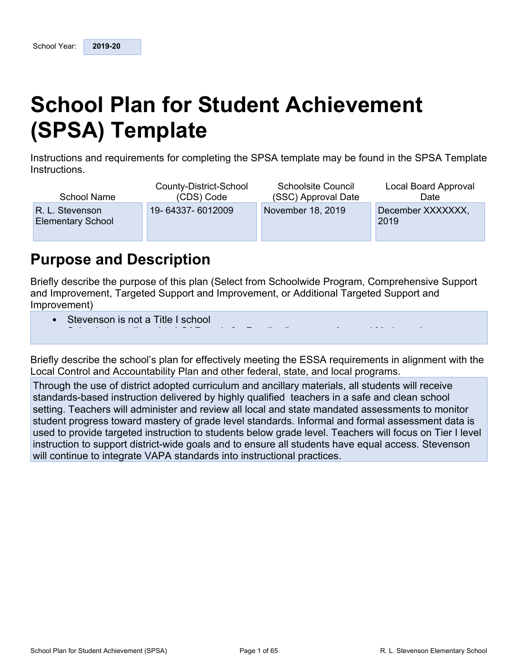# <span id="page-0-0"></span>**School Plan for Student Achievement (SPSA) Template**

Instructions and requirements for completing the SPSA template may be found in the SPSA Template Instructions.

| School Name                                 | County-District-School | <b>Schoolsite Council</b> | Local Board Approval      |
|---------------------------------------------|------------------------|---------------------------|---------------------------|
|                                             | (CDS) Code             | (SSC) Approval Date       | Date                      |
| R. L. Stevenson<br><b>Elementary School</b> | 19-64337-6012009       | November 18, 2019         | December XXXXXXX,<br>2019 |

## <span id="page-0-1"></span>**Purpose and Description**

Briefly describe the purpose of this plan (Select from Schoolwide Program, Comprehensive Support and Improvement, Targeted Support and Improvement, or Additional Targeted Support and Improvement)

• School plans aligned to LCAP goals for Reading/Language Arts and Mathematics

Stevenson is not a Title I school

Briefly describe the school's plan for effectively meeting the ESSA requirements in alignment with the Brish, acceribe the cented of plan for encelling, moding the Ebert requirements in alignment to<br>Local Control and Accountability Plan and other federal, state, and local programs.

 $\sim$  School accountability aligned to LCAP accountability (Dashboard) including SBAC results  $S$ 

required and Atsocial and The following the following and and the follow methods are included to support and the following for support and the following for support and the following for support and the following for suppo Through the use of district adopted curriculum and ancillary materials, all students will receive standards-based instruction delivered by highly qualified teachers in a safe and clean school<br>safting Teachers will administer and mujeured lead and state mandated accessoriate to map setting. Teachers will administer and review all local and state mandated assessments to monitor<br>student are week to used meets usef week local atendants, informal and farmel assessment data is student progress toward mastery of grade level standards. Informal and formal assessment data is used to provide targeted instruction to students below grade level. Teachers will focus on Tier I level<br>instruction to current district wide grade and to enouge all students have equal access. Obverses instruction to support district-wide goals and to ensure all students have equal access. Stevenson<br>will continue to integrate VADA standards inte instructional apostions will continue to integrate VAPA standards into instructional practices.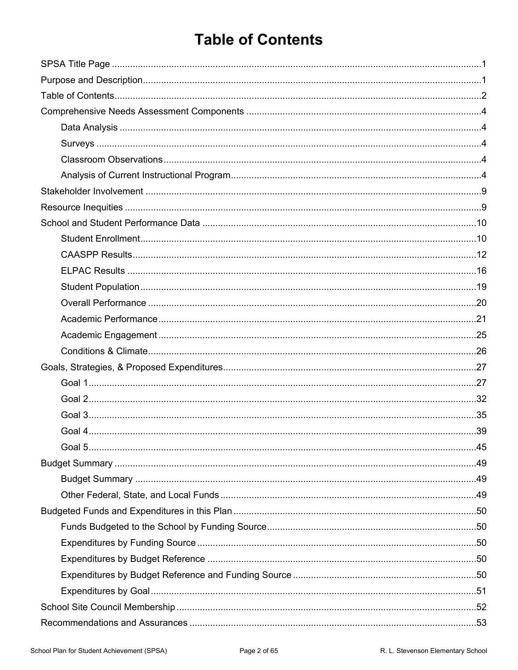# <span id="page-1-0"></span>**Table of Contents**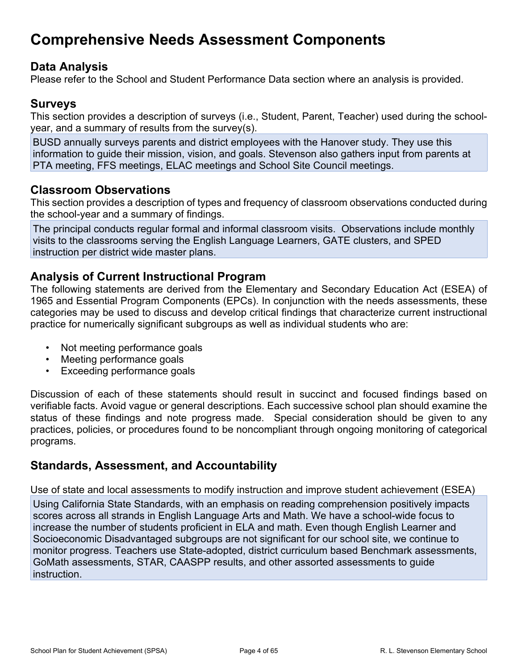## <span id="page-3-0"></span>**Comprehensive Needs Assessment Components**

## <span id="page-3-1"></span>**Data Analysis**

Please refer to the School and Student Performance Data section where an analysis is provided.

## <span id="page-3-2"></span>**Surveys**

This section provides a description of surveys (i.e., Student, Parent, Teacher) used during the schoolyear, and a summary of results from the survey(s).

BUSD annually surveys parents and district employees with the Hanover study. They use this information to guide their mission, vision, and goals. Stevenson also gathers input from parents at PTA meeting, FFS meetings, ELAC meetings and School Site Council meetings.

## <span id="page-3-3"></span>**Classroom Observations**

This section provides a description of types and frequency of classroom observations conducted during the school-year and a summary of findings.

The principal conducts regular formal and informal classroom visits. Observations include monthly visits to the classrooms serving the English Language Learners, GATE clusters, and SPED instruction per district wide master plans.

## <span id="page-3-4"></span>**Analysis of Current Instructional Program**

The following statements are derived from the Elementary and Secondary Education Act (ESEA) of 1965 and Essential Program Components (EPCs). In conjunction with the needs assessments, these categories may be used to discuss and develop critical findings that characterize current instructional practice for numerically significant subgroups as well as individual students who are:

- Not meeting performance goals
- Meeting performance goals
- Exceeding performance goals

Discussion of each of these statements should result in succinct and focused findings based on verifiable facts. Avoid vague or general descriptions. Each successive school plan should examine the status of these findings and note progress made. Special consideration should be given to any practices, policies, or procedures found to be noncompliant through ongoing monitoring of categorical programs.

## **Standards, Assessment, and Accountability**

Use of state and local assessments to modify instruction and improve student achievement (ESEA)

Using California State Standards, with an emphasis on reading comprehension positively impacts scores across all strands in English Language Arts and Math. We have a school-wide focus to increase the number of students proficient in ELA and math. Even though English Learner and Socioeconomic Disadvantaged subgroups are not significant for our school site, we continue to monitor progress. Teachers use State-adopted, district curriculum based Benchmark assessments, GoMath assessments, STAR, CAASPP results, and other assorted assessments to guide **instruction**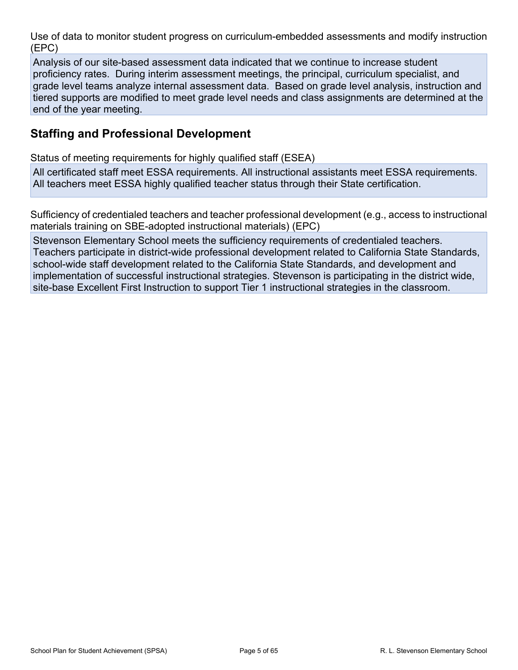Use of data to monitor student progress on curriculum-embedded assessments and modify instruction (EPC)

Analysis of our site-based assessment data indicated that we continue to increase student proficiency rates. During interim assessment meetings, the principal, curriculum specialist, and grade level teams analyze internal assessment data. Based on grade level analysis, instruction and tiered supports are modified to meet grade level needs and class assignments are determined at the end of the year meeting.

## **Staffing and Professional Development**

Status of meeting requirements for highly qualified staff (ESEA)

All certificated staff meet ESSA requirements. All instructional assistants meet ESSA requirements. All teachers meet ESSA highly qualified teacher status through their State certification.

Sufficiency of credentialed teachers and teacher professional development (e.g., access to instructional materials training on SBE-adopted instructional materials) (EPC)

Stevenson Elementary School meets the sufficiency requirements of credentialed teachers. Teachers participate in district-wide professional development related to California State Standards, school-wide staff development related to the California State Standards, and development and implementation of successful instructional strategies. Stevenson is participating in the district wide, site-base Excellent First Instruction to support Tier 1 instructional strategies in the classroom.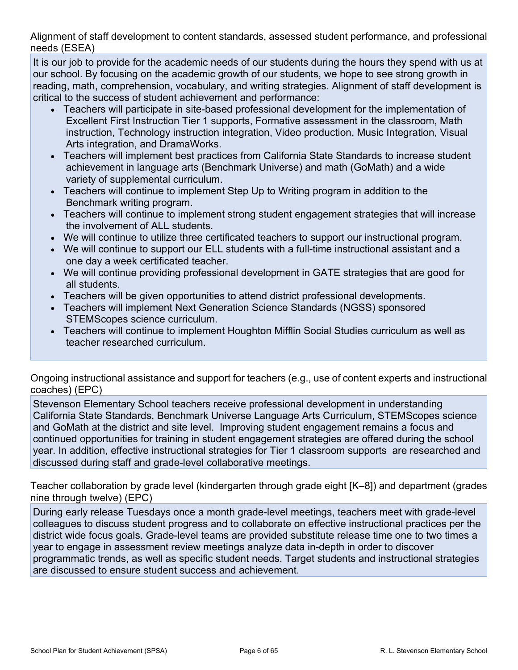Alignment of staff development to content standards, assessed student performance, and professional needs (ESEA)

It is our job to provide for the academic needs of our students during the hours they spend with us at our school. By focusing on the academic growth of our students, we hope to see strong growth in reading, math, comprehension, vocabulary, and writing strategies. Alignment of staff development is critical to the success of student achievement and performance:

- Teachers will participate in site-based professional development for the implementation of Excellent First Instruction Tier 1 supports, Formative assessment in the classroom, Math instruction, Technology instruction integration, Video production, Music Integration, Visual Arts integration, and DramaWorks.
- Teachers will implement best practices from California State Standards to increase student achievement in language arts (Benchmark Universe) and math (GoMath) and a wide variety of supplemental curriculum.
- Teachers will continue to implement Step Up to Writing program in addition to the Benchmark writing program.
- Teachers will continue to implement strong student engagement strategies that will increase the involvement of ALL students.
- We will continue to utilize three certificated teachers to support our instructional program.
- We will continue to support our ELL students with a full-time instructional assistant and a one day a week certificated teacher.
- We will continue providing professional development in GATE strategies that are good for all students.
- Teachers will be given opportunities to attend district professional developments.
- Teachers will implement Next Generation Science Standards (NGSS) sponsored STEMScopes science curriculum.
- Teachers will continue to implement Houghton Mifflin Social Studies curriculum as well as teacher researched curriculum.

Ongoing instructional assistance and support for teachers (e.g., use of content experts and instructional coaches) (EPC)

Stevenson Elementary School teachers receive professional development in understanding California State Standards, Benchmark Universe Language Arts Curriculum, STEMScopes science and GoMath at the district and site level. Improving student engagement remains a focus and continued opportunities for training in student engagement strategies are offered during the school year. In addition, effective instructional strategies for Tier 1 classroom supports are researched and discussed during staff and grade-level collaborative meetings.

Teacher collaboration by grade level (kindergarten through grade eight [K–8]) and department (grades nine through twelve) (EPC)

During early release Tuesdays once a month grade-level meetings, teachers meet with grade-level colleagues to discuss student progress and to collaborate on effective instructional practices per the district wide focus goals. Grade-level teams are provided substitute release time one to two times a year to engage in assessment review meetings analyze data in-depth in order to discover programmatic trends, as well as specific student needs. Target students and instructional strategies are discussed to ensure student success and achievement.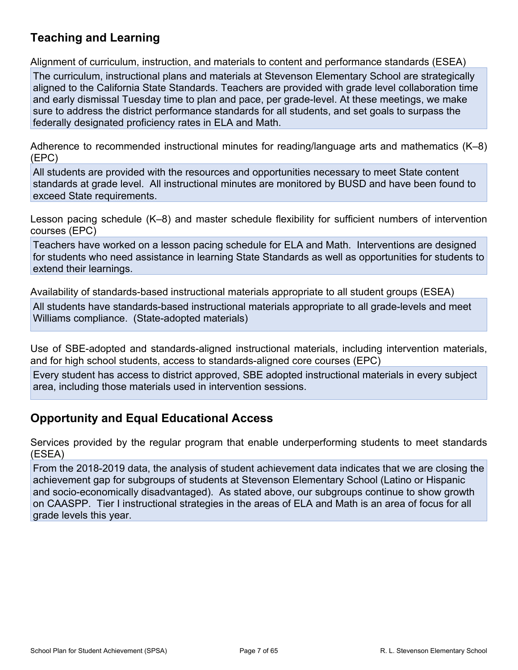## **Teaching and Learning**

Alignment of curriculum, instruction, and materials to content and performance standards (ESEA)

The curriculum, instructional plans and materials at Stevenson Elementary School are strategically aligned to the California State Standards. Teachers are provided with grade level collaboration time and early dismissal Tuesday time to plan and pace, per grade-level. At these meetings, we make sure to address the district performance standards for all students, and set goals to surpass the federally designated proficiency rates in ELA and Math.

Adherence to recommended instructional minutes for reading/language arts and mathematics (K–8) (EPC)

All students are provided with the resources and opportunities necessary to meet State content standards at grade level. All instructional minutes are monitored by BUSD and have been found to exceed State requirements.

Lesson pacing schedule (K–8) and master schedule flexibility for sufficient numbers of intervention courses (EPC)

Teachers have worked on a lesson pacing schedule for ELA and Math. Interventions are designed for students who need assistance in learning State Standards as well as opportunities for students to extend their learnings.

Availability of standards-based instructional materials appropriate to all student groups (ESEA)

All students have standards-based instructional materials appropriate to all grade-levels and meet Williams compliance. (State-adopted materials)

Use of SBE-adopted and standards-aligned instructional materials, including intervention materials, and for high school students, access to standards-aligned core courses (EPC)

Every student has access to district approved, SBE adopted instructional materials in every subject area, including those materials used in intervention sessions.

## **Opportunity and Equal Educational Access**

Services provided by the regular program that enable underperforming students to meet standards (ESEA)

From the 2018-2019 data, the analysis of student achievement data indicates that we are closing the achievement gap for subgroups of students at Stevenson Elementary School (Latino or Hispanic and socio-economically disadvantaged). As stated above, our subgroups continue to show growth on CAASPP. Tier I instructional strategies in the areas of ELA and Math is an area of focus for all grade levels this year.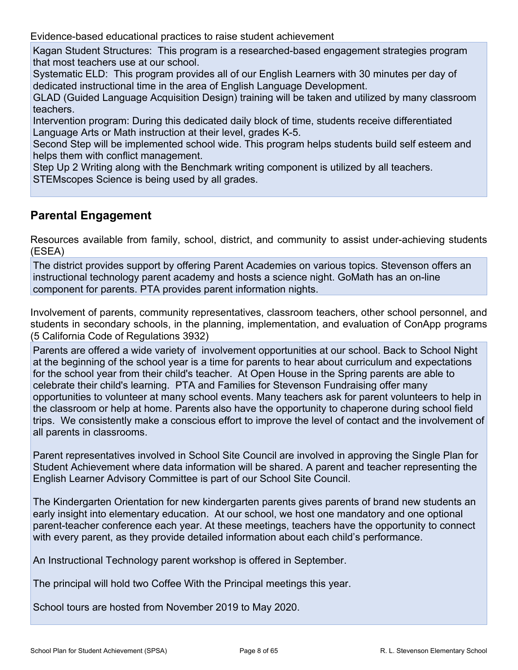Evidence-based educational practices to raise student achievement

Kagan Student Structures: This program is a researched-based engagement strategies program that most teachers use at our school.

Systematic ELD: This program provides all of our English Learners with 30 minutes per day of dedicated instructional time in the area of English Language Development.

GLAD (Guided Language Acquisition Design) training will be taken and utilized by many classroom teachers.

Intervention program: During this dedicated daily block of time, students receive differentiated Language Arts or Math instruction at their level, grades K-5.

Second Step will be implemented school wide. This program helps students build self esteem and helps them with conflict management.

Step Up 2 Writing along with the Benchmark writing component is utilized by all teachers. STEMscopes Science is being used by all grades.

## **Parental Engagement**

Resources available from family, school, district, and community to assist under-achieving students (ESEA)

The district provides support by offering Parent Academies on various topics. Stevenson offers an instructional technology parent academy and hosts a science night. GoMath has an on-line component for parents. PTA provides parent information nights.

Involvement of parents, community representatives, classroom teachers, other school personnel, and students in secondary schools, in the planning, implementation, and evaluation of ConApp programs (5 California Code of Regulations 3932)

Parents are offered a wide variety of involvement opportunities at our school. Back to School Night at the beginning of the school year is a time for parents to hear about curriculum and expectations for the school year from their child's teacher. At Open House in the Spring parents are able to celebrate their child's learning. PTA and Families for Stevenson Fundraising offer many opportunities to volunteer at many school events. Many teachers ask for parent volunteers to help in the classroom or help at home. Parents also have the opportunity to chaperone during school field trips. We consistently make a conscious effort to improve the level of contact and the involvement of all parents in classrooms.

Parent representatives involved in School Site Council are involved in approving the Single Plan for Student Achievement where data information will be shared. A parent and teacher representing the English Learner Advisory Committee is part of our School Site Council.

The Kindergarten Orientation for new kindergarten parents gives parents of brand new students an early insight into elementary education. At our school, we host one mandatory and one optional parent-teacher conference each year. At these meetings, teachers have the opportunity to connect with every parent, as they provide detailed information about each child's performance.

An Instructional Technology parent workshop is offered in September.

The principal will hold two Coffee With the Principal meetings this year.

School tours are hosted from November 2019 to May 2020.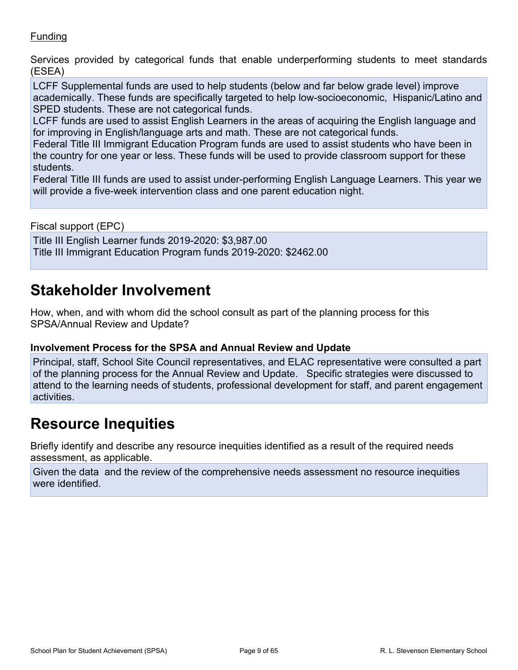### **Funding**

Services provided by categorical funds that enable underperforming students to meet standards (ESEA)

LCFF Supplemental funds are used to help students (below and far below grade level) improve academically. These funds are specifically targeted to help low-socioeconomic, Hispanic/Latino and SPED students. These are not categorical funds.

LCFF funds are used to assist English Learners in the areas of acquiring the English language and for improving in English/language arts and math. These are not categorical funds.

Federal Title III Immigrant Education Program funds are used to assist students who have been in the country for one year or less. These funds will be used to provide classroom support for these students.

Federal Title III funds are used to assist under-performing English Language Learners. This year we will provide a five-week intervention class and one parent education night.

Fiscal support (EPC)

Title III English Learner funds 2019-2020: \$3,987.00 Title III Immigrant Education Program funds 2019-2020: \$2462.00

## <span id="page-8-0"></span>**Stakeholder Involvement**

How, when, and with whom did the school consult as part of the planning process for this SPSA/Annual Review and Update?

### **Involvement Process for the SPSA and Annual Review and Update**

Principal, staff, School Site Council representatives, and ELAC representative were consulted a part of the planning process for the Annual Review and Update. Specific strategies were discussed to attend to the learning needs of students, professional development for staff, and parent engagement activities.

## <span id="page-8-1"></span>**Resource Inequities**

Briefly identify and describe any resource inequities identified as a result of the required needs assessment, as applicable.

Given the data and the review of the comprehensive needs assessment no resource inequities were identified.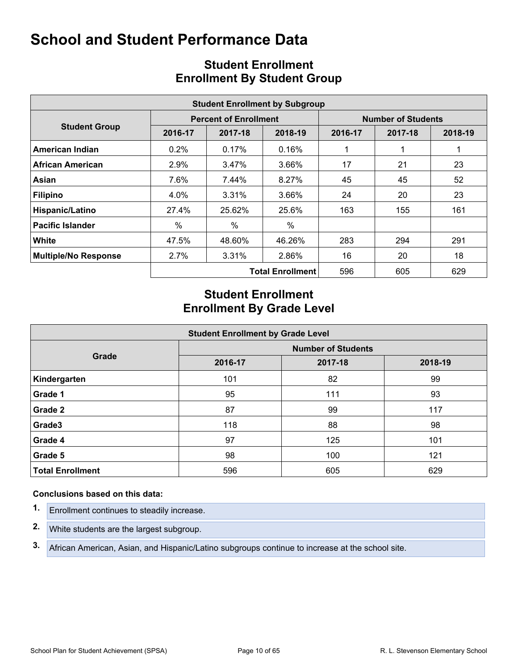<span id="page-9-0"></span>

| <b>Student Enrollment by Subgroup</b> |         |                              |                         |         |                           |         |  |  |  |  |  |
|---------------------------------------|---------|------------------------------|-------------------------|---------|---------------------------|---------|--|--|--|--|--|
|                                       |         | <b>Percent of Enrollment</b> |                         |         | <b>Number of Students</b> |         |  |  |  |  |  |
| <b>Student Group</b>                  | 2016-17 | 2017-18                      | 2018-19                 | 2016-17 | 2017-18                   | 2018-19 |  |  |  |  |  |
| American Indian                       | $0.2\%$ | $0.17\%$                     | 0.16%                   |         |                           |         |  |  |  |  |  |
| <b>African American</b>               | 2.9%    | 3.47%                        | 3.66%                   | 17      | 21                        | 23      |  |  |  |  |  |
| Asian                                 | 7.6%    | 7.44%                        | 8.27%                   | 45      | 45                        | 52      |  |  |  |  |  |
| <b>Filipino</b>                       | 4.0%    | 3.31%                        | 3.66%                   | 24      | 20                        | 23      |  |  |  |  |  |
| Hispanic/Latino                       | 27.4%   | 25.62%                       | 25.6%                   | 163     | 155                       | 161     |  |  |  |  |  |
| <b>Pacific Islander</b>               | %       | %                            | $\%$                    |         |                           |         |  |  |  |  |  |
| White                                 | 47.5%   | 48.60%                       | 46.26%                  | 283     | 294                       | 291     |  |  |  |  |  |
| <b>Multiple/No Response</b>           | 2.7%    | 3.31%                        | 2.86%                   | 16      | 20                        | 18      |  |  |  |  |  |
|                                       |         |                              | <b>Total Enrollment</b> | 596     | 605                       | 629     |  |  |  |  |  |

## <span id="page-9-1"></span>**Student Enrollment Enrollment By Student Group**

## **Student Enrollment Enrollment By Grade Level**

| <b>Student Enrollment by Grade Level</b> |                           |         |         |  |  |  |  |  |  |  |
|------------------------------------------|---------------------------|---------|---------|--|--|--|--|--|--|--|
|                                          | <b>Number of Students</b> |         |         |  |  |  |  |  |  |  |
| Grade                                    | 2016-17                   | 2017-18 | 2018-19 |  |  |  |  |  |  |  |
| Kindergarten                             | 101                       | 82      | 99      |  |  |  |  |  |  |  |
| Grade 1                                  | 95                        | 111     | 93      |  |  |  |  |  |  |  |
| Grade 2                                  | 87                        | 99      | 117     |  |  |  |  |  |  |  |
| Grade3                                   | 118                       | 88      | 98      |  |  |  |  |  |  |  |
| Grade 4                                  | 97                        | 125     | 101     |  |  |  |  |  |  |  |
| Grade 5                                  | 98                        | 100     | 121     |  |  |  |  |  |  |  |
| <b>Total Enrollment</b>                  | 596                       | 605     | 629     |  |  |  |  |  |  |  |

#### **Conclusions based on this data:**

- **1.** Enrollment continues to steadily increase.
- **2.** White students are the largest subgroup.
- **3.** African American, Asian, and Hispanic/Latino subgroups continue to increase at the school site.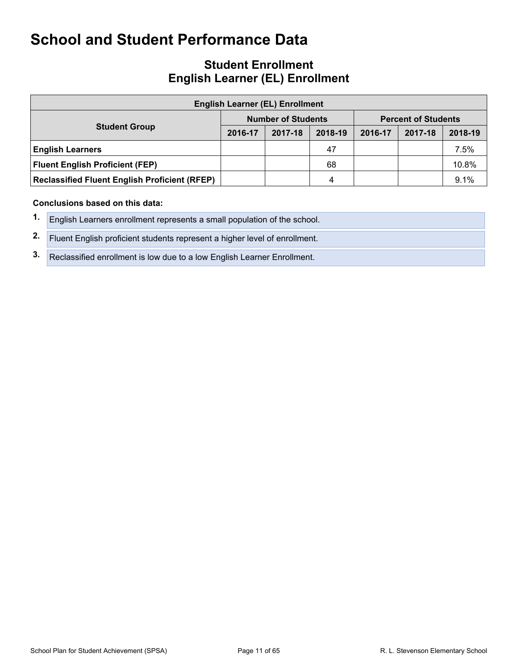## **Student Enrollment English Learner (EL) Enrollment**

| <b>English Learner (EL) Enrollment</b>               |         |                           |         |                            |         |         |  |  |  |  |  |
|------------------------------------------------------|---------|---------------------------|---------|----------------------------|---------|---------|--|--|--|--|--|
|                                                      |         | <b>Number of Students</b> |         | <b>Percent of Students</b> |         |         |  |  |  |  |  |
| <b>Student Group</b>                                 | 2016-17 | 2017-18                   | 2018-19 | 2016-17                    | 2017-18 | 2018-19 |  |  |  |  |  |
| <b>English Learners</b>                              |         |                           | 47      |                            |         | 7.5%    |  |  |  |  |  |
| <b>Fluent English Proficient (FEP)</b>               |         |                           | 68      |                            |         | 10.8%   |  |  |  |  |  |
| <b>Reclassified Fluent English Proficient (RFEP)</b> |         |                           | 4       |                            |         | 9.1%    |  |  |  |  |  |

#### **Conclusions based on this data:**

- **1.** English Learners enrollment represents a small population of the school.
- **2.** Fluent English proficient students represent a higher level of enrollment.
- **3.** Reclassified enrollment is low due to a low English Learner Enrollment.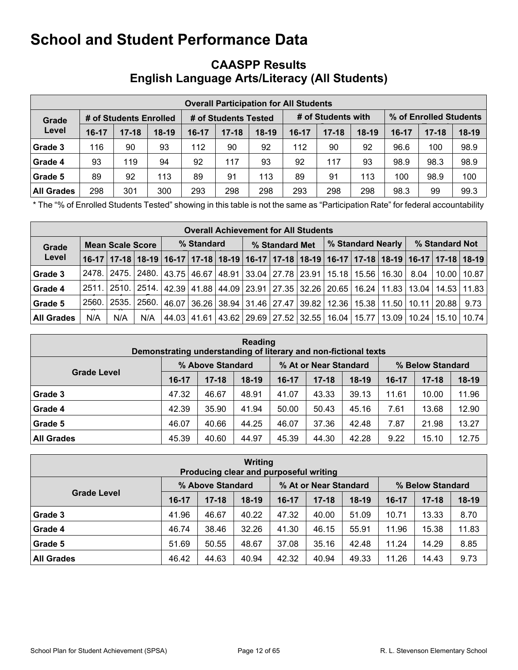## <span id="page-11-0"></span>**CAASPP Results English Language Arts/Literacy (All Students)**

|                                 | <b>Overall Participation for All Students</b> |           |                      |         |           |         |                    |           |         |                        |           |         |  |
|---------------------------------|-----------------------------------------------|-----------|----------------------|---------|-----------|---------|--------------------|-----------|---------|------------------------|-----------|---------|--|
| # of Students Enrolled<br>Grade |                                               |           | # of Students Tested |         |           |         | # of Students with |           |         | % of Enrolled Students |           |         |  |
| Level                           | $16-17$                                       | $17 - 18$ | $18-19$              | $16-17$ | $17 - 18$ | $18-19$ | $16-17$            | $17 - 18$ | $18-19$ | $16-17$                | $17 - 18$ | $18-19$ |  |
| Grade 3                         | 116                                           | 90        | 93                   | 112     | 90        | 92      | 112                | 90        | 92      | 96.6                   | 100       | 98.9    |  |
| Grade 4                         | 93                                            | 119       | 94                   | 92      | 117       | 93      | 92                 | 117       | 93      | 98.9                   | 98.3      | 98.9    |  |
| Grade 5                         | 89                                            | 92        | 113                  | 89      | 91        | 113     | 89                 | 91        | 113     | 100                    | 98.9      | 100     |  |
| <b>All Grades</b>               | 298                                           | 301       | 300                  | 293     | 298       | 298     | 293                | 298       | 298     | 98.3                   | 99        | 99.3    |  |

\* The "% of Enrolled Students Tested" showing in this table is not the same as "Participation Rate" for federal accountability purposes.

|                   | <b>Overall Achievement for All Students</b> |             |     |            |  |  |  |                                                                                               |  |  |                   |  |               |                                                                                                                       |               |  |
|-------------------|---------------------------------------------|-------------|-----|------------|--|--|--|-----------------------------------------------------------------------------------------------|--|--|-------------------|--|---------------|-----------------------------------------------------------------------------------------------------------------------|---------------|--|
| Grade             | <b>Mean Scale Score</b>                     |             |     | % Standard |  |  |  | % Standard Met                                                                                |  |  | % Standard Nearly |  |               | % Standard Not                                                                                                        |               |  |
| Level             |                                             |             |     |            |  |  |  |                                                                                               |  |  |                   |  |               | 16-17   17-18   18-19   16-17   17-18   18-19   16-17   17-18   18-19   16-17   17-18   18-19   16-17   17-18   18-19 |               |  |
| Grade 3           | 2478.                                       |             |     |            |  |  |  | 2475.   2480.   43.75   46.67   48.91   33.04   27.78   23.91   15.18   15.56                 |  |  |                   |  | 16.30   8.04  | 10.00   10.87                                                                                                         |               |  |
| Grade 4           | 2511.                                       |             |     |            |  |  |  | 2510.   2514.   42.39   41.88   44.09   23.91   27.35   32.26   20.65   16.24   11.83   13.04 |  |  |                   |  |               |                                                                                                                       | 14.53   11.83 |  |
| Grade 5           | 2560.                                       | 2535. 2560. |     |            |  |  |  | 46.07 36.26 38.94 31.46 27.47 39.82                                                           |  |  |                   |  |               | 12.36   15.38   11.50   10.11   20.88                                                                                 | 9.73          |  |
| <b>All Grades</b> | N/A                                         | N/A         | N/A |            |  |  |  | 44.03   41.61   43.62   29.69   27.52   32.55   16.04   15.77                                 |  |  |                   |  | 13.09   10.24 |                                                                                                                       | 15.10   10.74 |  |

| Reading<br>Demonstrating understanding of literary and non-fictional texts |                  |           |         |         |                       |         |         |                  |         |  |  |
|----------------------------------------------------------------------------|------------------|-----------|---------|---------|-----------------------|---------|---------|------------------|---------|--|--|
|                                                                            | % Above Standard |           |         |         | % At or Near Standard |         |         | % Below Standard |         |  |  |
| <b>Grade Level</b>                                                         | $16-17$          | $17 - 18$ | $18-19$ | $16-17$ | $17 - 18$             | $18-19$ | $16-17$ | $17 - 18$        | $18-19$ |  |  |
| Grade 3                                                                    | 47.32            | 46.67     | 48.91   | 41.07   | 43.33                 | 39.13   | 11.61   | 10.00            | 11.96   |  |  |
| Grade 4                                                                    | 42.39            | 35.90     | 41.94   | 50.00   | 50.43                 | 45.16   | 7.61    | 13.68            | 12.90   |  |  |
| Grade 5                                                                    | 46.07            | 40.66     | 44.25   | 46.07   | 37.36                 | 42.48   | 7.87    | 21.98            | 13.27   |  |  |
| <b>All Grades</b>                                                          | 45.39            | 40.60     | 44.97   | 45.39   | 44.30                 | 42.28   | 9.22    | 15.10            | 12.75   |  |  |

| Writing<br>Producing clear and purposeful writing |                  |           |         |                       |           |       |                  |           |         |  |  |  |
|---------------------------------------------------|------------------|-----------|---------|-----------------------|-----------|-------|------------------|-----------|---------|--|--|--|
|                                                   | % Above Standard |           |         | % At or Near Standard |           |       | % Below Standard |           |         |  |  |  |
| <b>Grade Level</b>                                | 16-17            | $17 - 18$ | $18-19$ | $16 - 17$             | $17 - 18$ | 18-19 | $16-17$          | $17 - 18$ | $18-19$ |  |  |  |
| Grade 3                                           | 41.96            | 46.67     | 40.22   | 47.32                 | 40.00     | 51.09 | 10.71            | 13.33     | 8.70    |  |  |  |
| Grade 4                                           | 46.74            | 38.46     | 32.26   | 41.30                 | 46.15     | 55.91 | 11.96            | 15.38     | 11.83   |  |  |  |
| Grade 5                                           | 51.69            | 50.55     | 48.67   | 37.08                 | 35.16     | 42.48 | 11.24            | 14.29     | 8.85    |  |  |  |
| <b>All Grades</b>                                 | 46.42            | 44.63     | 40.94   | 42.32                 | 40.94     | 49.33 | 11.26            | 14.43     | 9.73    |  |  |  |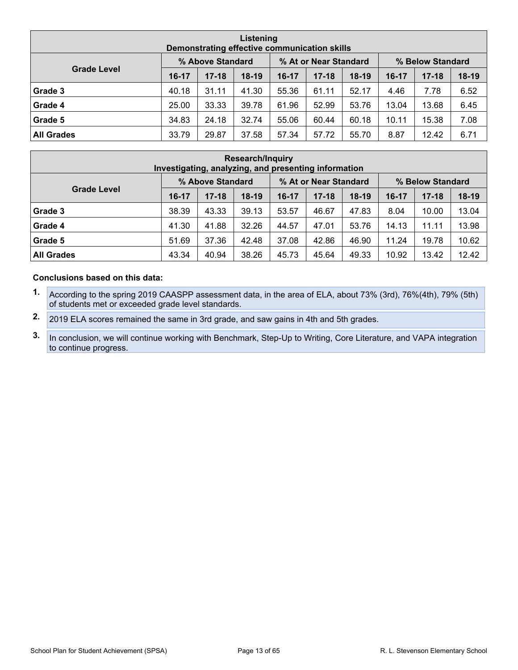| Listening<br>Demonstrating effective communication skills |                  |           |         |                       |           |         |                  |           |         |  |  |
|-----------------------------------------------------------|------------------|-----------|---------|-----------------------|-----------|---------|------------------|-----------|---------|--|--|
|                                                           | % Above Standard |           |         | % At or Near Standard |           |         | % Below Standard |           |         |  |  |
| <b>Grade Level</b>                                        | 16-17            | $17 - 18$ | $18-19$ | 16-17                 | $17 - 18$ | $18-19$ | 16-17            | $17 - 18$ | $18-19$ |  |  |
| Grade 3                                                   | 40.18            | 31.11     | 41.30   | 55.36                 | 61.11     | 52.17   | 4.46             | 7.78      | 6.52    |  |  |
| Grade 4                                                   | 25.00            | 33.33     | 39.78   | 61.96                 | 52.99     | 53.76   | 13.04            | 13.68     | 6.45    |  |  |
| Grade 5                                                   | 34.83            | 24.18     | 32.74   | 55.06                 | 60.44     | 60.18   | 10.11            | 15.38     | 7.08    |  |  |
| <b>All Grades</b>                                         | 33.79            | 29.87     | 37.58   | 57.34                 | 57.72     | 55.70   | 8.87             | 12.42     | 6.71    |  |  |

| <b>Research/Inquiry</b><br>Investigating, analyzing, and presenting information |                  |           |         |                       |           |         |                  |           |         |  |  |
|---------------------------------------------------------------------------------|------------------|-----------|---------|-----------------------|-----------|---------|------------------|-----------|---------|--|--|
|                                                                                 | % Above Standard |           |         | % At or Near Standard |           |         | % Below Standard |           |         |  |  |
| <b>Grade Level</b>                                                              | $16-17$          | $17 - 18$ | $18-19$ | $16-17$               | $17 - 18$ | $18-19$ | $16 - 17$        | $17 - 18$ | $18-19$ |  |  |
| Grade 3                                                                         | 38.39            | 43.33     | 39.13   | 53.57                 | 46.67     | 47.83   | 8.04             | 10.00     | 13.04   |  |  |
| Grade 4                                                                         | 41.30            | 41.88     | 32.26   | 44.57                 | 47.01     | 53.76   | 14.13            | 11.11     | 13.98   |  |  |
| Grade 5                                                                         | 51.69            | 37.36     | 42.48   | 37.08                 | 42.86     | 46.90   | 11.24            | 19.78     | 10.62   |  |  |
| <b>All Grades</b>                                                               | 43.34            | 40.94     | 38.26   | 45.73                 | 45.64     | 49.33   | 10.92            | 13.42     | 12.42   |  |  |

#### **Conclusions based on this data:**

- **1.** According to the spring 2019 CAASPP assessment data, in the area of ELA, about 73% (3rd), 76%(4th), 79% (5th) of students met or exceeded grade level standards.
- **2.** 2019 ELA scores remained the same in 3rd grade, and saw gains in 4th and 5th grades.
- **3.** In conclusion, we will continue working with Benchmark, Step-Up to Writing, Core Literature, and VAPA integration to continue progress.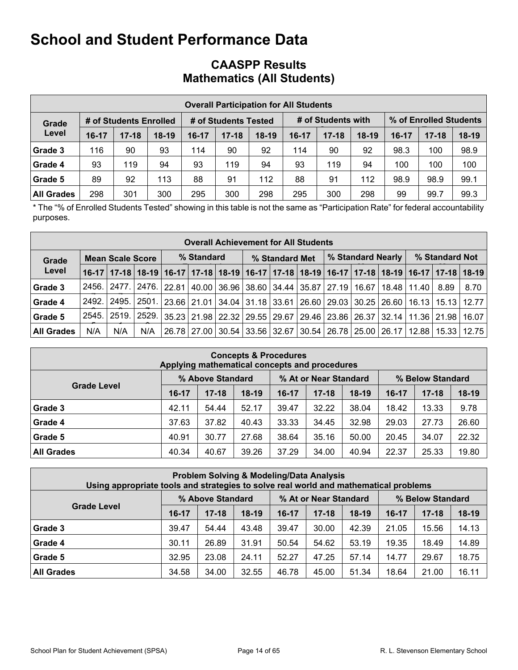## **CAASPP Results Mathematics (All Students)**

|                   |       |                        |         |         |                      |         | <b>Overall Participation for All Students</b> |                    |         |         |                        |         |
|-------------------|-------|------------------------|---------|---------|----------------------|---------|-----------------------------------------------|--------------------|---------|---------|------------------------|---------|
| Grade             |       | # of Students Enrolled |         |         | # of Students Tested |         |                                               | # of Students with |         |         | % of Enrolled Students |         |
| Level             | 16-17 | $17 - 18$              | $18-19$ | $16-17$ | $17 - 18$            | $18-19$ | 16-17                                         | $17 - 18$          | $18-19$ | $16-17$ | $17 - 18$              | $18-19$ |
| Grade 3           | 116   | 90                     | 93      | 114     | 90                   | 92      | 114                                           | 90                 | 92      | 98.3    | 100                    | 98.9    |
| Grade 4           | 93    | 119                    | 94      | 93      | 119                  | 94      | 93                                            | 119                | 94      | 100     | 100                    | 100     |
| Grade 5           | 89    | 92                     | 113     | 88      | 91                   | 112     | 88                                            | 91                 | 112     | 98.9    | 98.9                   | 99.1    |
| <b>All Grades</b> | 298   | 301                    | 300     | 295     | 300                  | 298     | 295                                           | 300                | 298     | 99      | 99.7                   | 99.3    |

\* The "% of Enrolled Students Tested" showing in this table is not the same as "Participation Rate" for federal accountability purposes.

|                   |       |                         |     |            | <b>Overall Achievement for All Students</b>                                           |                                     |  |  |  |                |                                                                                                                       |      |
|-------------------|-------|-------------------------|-----|------------|---------------------------------------------------------------------------------------|-------------------------------------|--|--|--|----------------|-----------------------------------------------------------------------------------------------------------------------|------|
| Grade             |       | <b>Mean Scale Score</b> |     | % Standard |                                                                                       | % Standard Nearly<br>% Standard Met |  |  |  | % Standard Not |                                                                                                                       |      |
| Level             |       |                         |     |            |                                                                                       |                                     |  |  |  |                | 16-17   17-18   18-19   16-17   17-18   18-19   16-17   17-18   18-19   16-17   17-18   18-19   16-17   17-18   18-19 |      |
| Grade 3           | 2456. | 2477.1                  |     |            | 2476.   22.81   40.00   36.96   38.60   34.44   35.87   27.19   16.67   18.48   11.40 |                                     |  |  |  |                | 8.89                                                                                                                  | 8.70 |
| Grade 4           | 2492. | l 2495. l               |     |            |                                                                                       |                                     |  |  |  |                | 2501.   23.66   21.01   34.04   31.18   33.61   26.60   29.03   30.25   26.60   16.13   15.13   12.77                 |      |
| Grade 5           | 2545. |                         |     |            |                                                                                       |                                     |  |  |  |                | 2519.   2529.   35.23   21.98   22.32   29.55   29.67   29.46   23.86   26.37   32.14   11.36   21.98   16.07         |      |
| <b>All Grades</b> | N/A   | N/A                     | N/A |            |                                                                                       |                                     |  |  |  |                | 26.78   27.00   30.54   33.56   32.67   30.54   26.78   25.00   26.17   12.88   15.33   12.75                         |      |

|                    | <b>Concepts &amp; Procedures</b><br>Applying mathematical concepts and procedures |           |         |           |           |         |         |           |         |  |  |  |  |  |
|--------------------|-----------------------------------------------------------------------------------|-----------|---------|-----------|-----------|---------|---------|-----------|---------|--|--|--|--|--|
|                    | % Above Standard<br>% At or Near Standard<br>% Below Standard                     |           |         |           |           |         |         |           |         |  |  |  |  |  |
| <b>Grade Level</b> | $16-17$                                                                           | $17 - 18$ | $18-19$ | $16 - 17$ | $17 - 18$ | $18-19$ | $16-17$ | $17 - 18$ | $18-19$ |  |  |  |  |  |
| Grade 3            | 42.11                                                                             | 54.44     | 52.17   | 39.47     | 32.22     | 38.04   | 18.42   | 13.33     | 9.78    |  |  |  |  |  |
| Grade 4            | 37.63                                                                             | 37.82     | 40.43   | 33.33     | 34.45     | 32.98   | 29.03   | 27.73     | 26.60   |  |  |  |  |  |
| Grade 5            | 40.91                                                                             | 30.77     | 27.68   | 38.64     | 35.16     | 50.00   | 20.45   | 34.07     | 22.32   |  |  |  |  |  |
| <b>All Grades</b>  | 40.34                                                                             | 40.67     | 39.26   | 37.29     | 34.00     | 40.94   | 22.37   | 25.33     | 19.80   |  |  |  |  |  |

| <b>Problem Solving &amp; Modeling/Data Analysis</b><br>Using appropriate tools and strategies to solve real world and mathematical problems |                  |           |                  |         |           |         |         |           |         |  |  |  |  |
|---------------------------------------------------------------------------------------------------------------------------------------------|------------------|-----------|------------------|---------|-----------|---------|---------|-----------|---------|--|--|--|--|
|                                                                                                                                             | % Above Standard |           | % Below Standard |         |           |         |         |           |         |  |  |  |  |
| <b>Grade Level</b>                                                                                                                          | $16-17$          | $17 - 18$ | $18-19$          | $16-17$ | $17 - 18$ | $18-19$ | $16-17$ | $17 - 18$ | $18-19$ |  |  |  |  |
| Grade 3                                                                                                                                     | 39.47            | 54.44     | 43.48            | 39.47   | 30.00     | 42.39   | 21.05   | 15.56     | 14.13   |  |  |  |  |
| Grade 4                                                                                                                                     | 30.11            | 26.89     | 31.91            | 50.54   | 54.62     | 53.19   | 19.35   | 18.49     | 14.89   |  |  |  |  |
| Grade 5                                                                                                                                     | 32.95            | 23.08     | 24.11            | 52.27   | 47.25     | 57.14   | 14.77   | 29.67     | 18.75   |  |  |  |  |
| <b>All Grades</b>                                                                                                                           | 34.58            | 34.00     | 32.55            | 46.78   | 45.00     | 51.34   | 18.64   | 21.00     | 16.11   |  |  |  |  |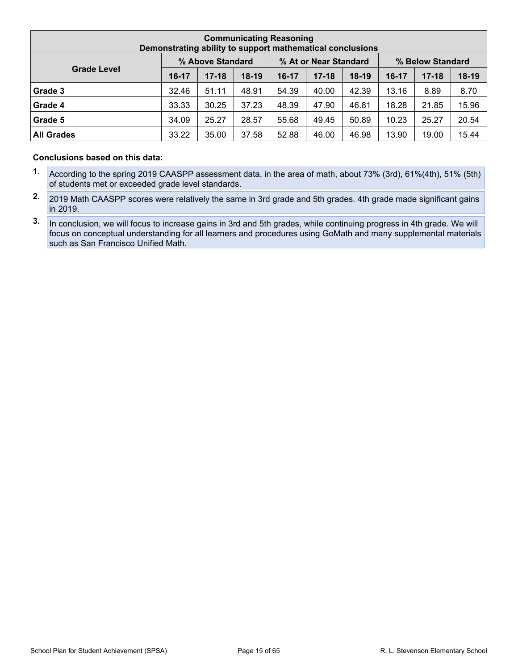| <b>Communicating Reasoning</b><br>Demonstrating ability to support mathematical conclusions |           |                  |         |           |                       |         |                  |           |         |  |  |  |
|---------------------------------------------------------------------------------------------|-----------|------------------|---------|-----------|-----------------------|---------|------------------|-----------|---------|--|--|--|
|                                                                                             |           | % Above Standard |         |           | % At or Near Standard |         | % Below Standard |           |         |  |  |  |
| <b>Grade Level</b>                                                                          | $16 - 17$ | $17 - 18$        | $18-19$ | $16 - 17$ | $17 - 18$             | $18-19$ | 16-17            | $17 - 18$ | $18-19$ |  |  |  |
| Grade 3                                                                                     | 32.46     | 51.11            | 48.91   | 54.39     | 40.00                 | 42.39   | 13.16            | 8.89      | 8.70    |  |  |  |
| Grade 4                                                                                     | 33.33     | 30.25            | 37.23   | 48.39     | 47.90                 | 46.81   | 18.28            | 21.85     | 15.96   |  |  |  |
| Grade 5                                                                                     | 34.09     | 25.27            | 28.57   | 55.68     | 49.45                 | 50.89   | 10.23            | 25.27     | 20.54   |  |  |  |
| <b>All Grades</b>                                                                           | 33.22     | 35.00            | 37.58   | 52.88     | 46.00                 | 46.98   | 13.90            | 19.00     | 15.44   |  |  |  |

#### **Conclusions based on this data:**

- **1.** According to the spring 2019 CAASPP assessment data, in the area of math, about 73% (3rd), 61%(4th), 51% (5th) of students met or exceeded grade level standards.
- **2.** 2019 Math CAASPP scores were relatively the same in 3rd grade and 5th grades. 4th grade made significant gains in 2019.
- **3.** In conclusion, we will focus to increase gains in 3rd and 5th grades, while continuing progress in 4th grade. We will focus on conceptual understanding for all learners and procedures using GoMath and many supplemental materials such as San Francisco Unified Math.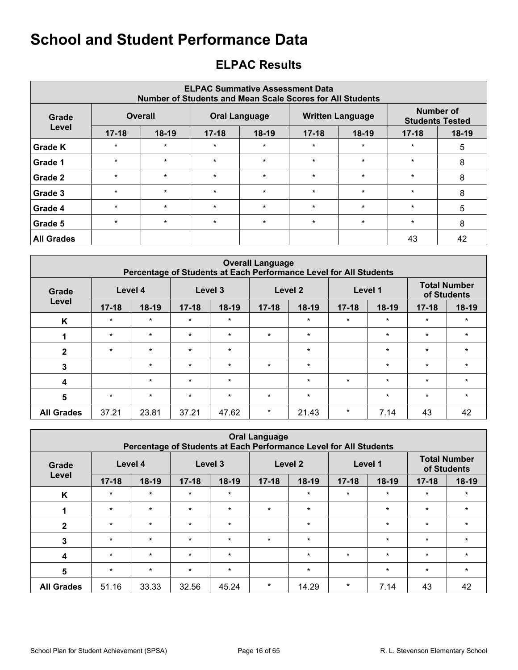## <span id="page-15-0"></span>**ELPAC Results**

|                   | <b>ELPAC Summative Assessment Data</b><br>Number of Students and Mean Scale Scores for All Students |                |           |                      |           |                         |           |                                     |  |  |  |  |  |  |
|-------------------|-----------------------------------------------------------------------------------------------------|----------------|-----------|----------------------|-----------|-------------------------|-----------|-------------------------------------|--|--|--|--|--|--|
| Grade             |                                                                                                     | <b>Overall</b> |           | <b>Oral Language</b> |           | <b>Written Language</b> |           | Number of<br><b>Students Tested</b> |  |  |  |  |  |  |
| Level             | $17 - 18$                                                                                           | $18-19$        | $17 - 18$ | $18-19$              | $17 - 18$ | $18-19$                 | $17 - 18$ | $18-19$                             |  |  |  |  |  |  |
| Grade K           | $\star$                                                                                             | $\star$        | $\star$   | $\star$              | $\star$   | $\star$                 | $\star$   | 5                                   |  |  |  |  |  |  |
| Grade 1           | $\star$                                                                                             | $\star$        | $\star$   | $\star$              | $\star$   | $\star$                 | $\star$   | 8                                   |  |  |  |  |  |  |
| Grade 2           | $\star$                                                                                             | $\star$        | $\star$   | $\star$              | $\star$   | $\star$                 | $\star$   | 8                                   |  |  |  |  |  |  |
| Grade 3           | $\star$                                                                                             | $\star$        | $\star$   | $\star$              | $\star$   | $\star$                 | $\star$   | 8                                   |  |  |  |  |  |  |
| Grade 4           | $\star$                                                                                             | $\star$        | $\star$   | $\star$              | $\ast$    | $\star$                 | $\star$   | 5                                   |  |  |  |  |  |  |
| Grade 5           | $\star$                                                                                             | $\star$        | $\star$   | $\star$              | $\star$   | $\star$                 | $\star$   | 8                                   |  |  |  |  |  |  |
| <b>All Grades</b> |                                                                                                     |                |           |                      |           |                         | 43        | 42                                  |  |  |  |  |  |  |

|                         | <b>Overall Language</b><br>Percentage of Students at Each Performance Level for All Students |         |           |         |           |         |           |         |                                    |         |  |  |  |  |  |
|-------------------------|----------------------------------------------------------------------------------------------|---------|-----------|---------|-----------|---------|-----------|---------|------------------------------------|---------|--|--|--|--|--|
| Grade                   |                                                                                              | Level 4 |           | Level 3 |           | Level 2 |           | Level 1 | <b>Total Number</b><br>of Students |         |  |  |  |  |  |
| Level                   | $17 - 18$                                                                                    | $18-19$ | $17 - 18$ | $18-19$ | $17 - 18$ | $18-19$ | $17 - 18$ | $18-19$ | $17 - 18$                          | 18-19   |  |  |  |  |  |
| K                       | $\star$                                                                                      | $\star$ | $\star$   | $\star$ |           | $\star$ | $\star$   | $\star$ | $\star$                            | $\star$ |  |  |  |  |  |
|                         | $\star$                                                                                      | $\star$ | $\star$   | $\star$ | $\star$   | $\star$ |           | $\star$ | $\star$                            | $\star$ |  |  |  |  |  |
| $\overline{2}$          | $\star$                                                                                      | $\star$ | $\star$   | $\star$ |           | $\star$ |           | $\star$ | $\star$                            | $\star$ |  |  |  |  |  |
| 3                       |                                                                                              | $\star$ | $\star$   | $\star$ | $\star$   | $\star$ |           | $\star$ | $\star$                            | $\star$ |  |  |  |  |  |
| $\overline{\mathbf{4}}$ |                                                                                              | $\star$ | $\star$   | $\star$ |           | $\star$ | $\star$   | $\star$ | $\star$                            | $\star$ |  |  |  |  |  |
| 5                       | $\star$                                                                                      | $\star$ | $\star$   | $\star$ | $\star$   | $\star$ |           | $\star$ | $\star$                            | $\star$ |  |  |  |  |  |
| <b>All Grades</b>       | 37.21                                                                                        | 23.81   | 37.21     | 47.62   | $\star$   | 21.43   | $\ast$    | 7.14    | 43                                 | 42      |  |  |  |  |  |

|                         | <b>Oral Language</b><br>Percentage of Students at Each Performance Level for All Students          |         |           |         |           |         |           |         |           |         |  |  |  |  |  |
|-------------------------|----------------------------------------------------------------------------------------------------|---------|-----------|---------|-----------|---------|-----------|---------|-----------|---------|--|--|--|--|--|
| Grade                   | <b>Total Number</b><br>Level 4<br>Level 3<br>Level <sub>2</sub><br>Level 1<br>of Students<br>Level |         |           |         |           |         |           |         |           |         |  |  |  |  |  |
|                         | $17 - 18$                                                                                          | $18-19$ | $17 - 18$ | $18-19$ | $17 - 18$ | $18-19$ | $17 - 18$ | $18-19$ | $17 - 18$ | 18-19   |  |  |  |  |  |
| K                       | $\star$                                                                                            | $\star$ | $\star$   | $\star$ |           | $\star$ | $\star$   | $\star$ | $\star$   | $\star$ |  |  |  |  |  |
|                         | $\star$                                                                                            | $\star$ | $\star$   | $\star$ | $\star$   | $\star$ |           | $\star$ | $\star$   | $\star$ |  |  |  |  |  |
| $\mathbf{2}$            | $\star$                                                                                            | $\star$ | $\star$   | $\star$ |           | $\star$ |           | $\star$ | $\star$   | $\star$ |  |  |  |  |  |
| 3                       | $\star$                                                                                            | $\star$ | $\star$   | $\star$ | $\star$   | $\star$ |           | $\star$ | $\star$   | $\star$ |  |  |  |  |  |
| $\overline{\mathbf{4}}$ | $\star$                                                                                            | $\star$ | $\star$   | $\star$ |           | $\star$ | $\star$   | $\star$ | $\star$   | $\star$ |  |  |  |  |  |
| 5                       | $\star$                                                                                            | $\ast$  | $\star$   | $\star$ |           | $\star$ |           | $\star$ | $\star$   | $\star$ |  |  |  |  |  |
| <b>All Grades</b>       | 51.16                                                                                              | 33.33   | 32.56     | 45.24   | $\star$   | 14.29   | $\star$   | 7.14    | 43        | 42      |  |  |  |  |  |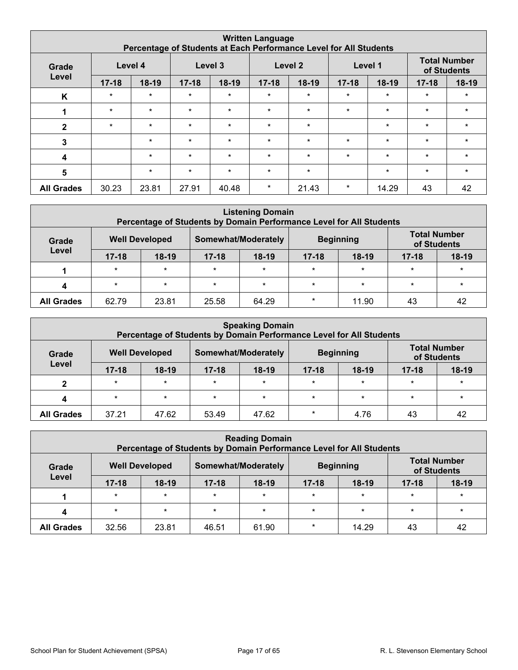|                         | <b>Written Language</b><br>Percentage of Students at Each Performance Level for All Students |         |           |         |           |         |           |         |           |         |  |  |  |  |  |
|-------------------------|----------------------------------------------------------------------------------------------|---------|-----------|---------|-----------|---------|-----------|---------|-----------|---------|--|--|--|--|--|
| Grade                   | <b>Total Number</b><br>Level 2<br>Level 4<br>Level 3<br>Level 1<br>of Students               |         |           |         |           |         |           |         |           |         |  |  |  |  |  |
| Level                   | $17 - 18$                                                                                    | $18-19$ | $17 - 18$ | $18-19$ | $17 - 18$ | 18-19   | $17 - 18$ | $18-19$ | $17 - 18$ | $18-19$ |  |  |  |  |  |
| K                       | $\star$                                                                                      | $\ast$  | $\star$   | $\star$ | $\star$   | $\star$ | $\star$   | $\star$ | $\star$   | $\star$ |  |  |  |  |  |
|                         | $\star$                                                                                      | $\star$ | $\star$   | $\star$ | $\star$   | $\star$ | $\star$   | $\star$ | $\star$   | $\star$ |  |  |  |  |  |
| $\overline{2}$          | $\star$                                                                                      | $\star$ | $\star$   | $\star$ | $\star$   | $\star$ |           | $\star$ | $\star$   | $\star$ |  |  |  |  |  |
| 3                       |                                                                                              | $\star$ | $\star$   | $\star$ | $\star$   | $\star$ | $\star$   | $\star$ | $\star$   | $\star$ |  |  |  |  |  |
| $\overline{\mathbf{4}}$ |                                                                                              | $\star$ | $\star$   | $\star$ | $\star$   | $\star$ | $\star$   | $\star$ | $\star$   | $\star$ |  |  |  |  |  |
| 5                       |                                                                                              | $\ast$  | $\star$   | $\star$ | $\star$   | $\star$ |           | $\star$ | $\star$   | $\star$ |  |  |  |  |  |
| <b>All Grades</b>       | 30.23                                                                                        | 23.81   | 27.91     | 40.48   | $\star$   | 21.43   | $\ast$    | 14.29   | 43        | 42      |  |  |  |  |  |

|                                                                                                                          | <b>Listening Domain</b><br>Percentage of Students by Domain Performance Level for All Students |         |           |         |           |         |           |         |  |  |  |  |  |  |
|--------------------------------------------------------------------------------------------------------------------------|------------------------------------------------------------------------------------------------|---------|-----------|---------|-----------|---------|-----------|---------|--|--|--|--|--|--|
| <b>Total Number</b><br>Somewhat/Moderately<br><b>Well Developed</b><br><b>Beginning</b><br>Grade<br>of Students<br>Level |                                                                                                |         |           |         |           |         |           |         |  |  |  |  |  |  |
|                                                                                                                          | $17 - 18$                                                                                      | $18-19$ | $17 - 18$ | $18-19$ | $17 - 18$ | $18-19$ | $17 - 18$ | $18-19$ |  |  |  |  |  |  |
|                                                                                                                          | $\star$                                                                                        | $\star$ | $\star$   | $\star$ | $\star$   | $\ast$  | $\star$   | $\star$ |  |  |  |  |  |  |
|                                                                                                                          | $\star$                                                                                        | $\star$ | $\star$   | $\star$ | $\star$   | $\star$ | $\star$   | $\star$ |  |  |  |  |  |  |
| <b>All Grades</b>                                                                                                        | 62.79                                                                                          | 23.81   | 25.58     | 64.29   | $\star$   | 11.90   | 43        | 42      |  |  |  |  |  |  |

|                   | <b>Speaking Domain</b><br>Percentage of Students by Domain Performance Level for All Students |         |           |                     |           |                  |                                    |         |  |  |  |  |  |  |
|-------------------|-----------------------------------------------------------------------------------------------|---------|-----------|---------------------|-----------|------------------|------------------------------------|---------|--|--|--|--|--|--|
| Grade             | <b>Well Developed</b>                                                                         |         |           | Somewhat/Moderately |           | <b>Beginning</b> | <b>Total Number</b><br>of Students |         |  |  |  |  |  |  |
| Level             | $17 - 18$                                                                                     | $18-19$ | $17 - 18$ | $18-19$             | $17 - 18$ | $18-19$          | $17 - 18$                          | $18-19$ |  |  |  |  |  |  |
|                   | $\star$                                                                                       | $\star$ | $\star$   | $\star$             | $\star$   | $\star$          | $\star$                            | $\star$ |  |  |  |  |  |  |
|                   | $\star$                                                                                       | $\star$ | $\star$   | $\star$             | $\star$   | $\star$          | $\star$                            | $\star$ |  |  |  |  |  |  |
| <b>All Grades</b> | 37.21                                                                                         | 47.62   | 53.49     | 47.62               | $\star$   | 4.76             | 43                                 | 42      |  |  |  |  |  |  |

|                   | <b>Reading Domain</b><br>Percentage of Students by Domain Performance Level for All Students |                       |           |                     |           |                  |                                    |         |  |  |  |  |  |  |
|-------------------|----------------------------------------------------------------------------------------------|-----------------------|-----------|---------------------|-----------|------------------|------------------------------------|---------|--|--|--|--|--|--|
| Grade             |                                                                                              | <b>Well Developed</b> |           | Somewhat/Moderately |           | <b>Beginning</b> | <b>Total Number</b><br>of Students |         |  |  |  |  |  |  |
| Level             | $17 - 18$                                                                                    | $18-19$               | $17 - 18$ | $18-19$             | $17 - 18$ | $18-19$          | $17 - 18$                          | $18-19$ |  |  |  |  |  |  |
|                   | $\star$                                                                                      | $\star$               | $\star$   | $\star$             | $\star$   | $\star$          | $\star$                            | $\star$ |  |  |  |  |  |  |
|                   | $\star$                                                                                      | $\star$               | $\star$   | $\star$             | $\star$   | $\star$          | $\star$                            | $\star$ |  |  |  |  |  |  |
| <b>All Grades</b> | 32.56                                                                                        | 23.81                 | 46.51     | 61.90               | $\star$   | 14.29            | 43                                 | 42      |  |  |  |  |  |  |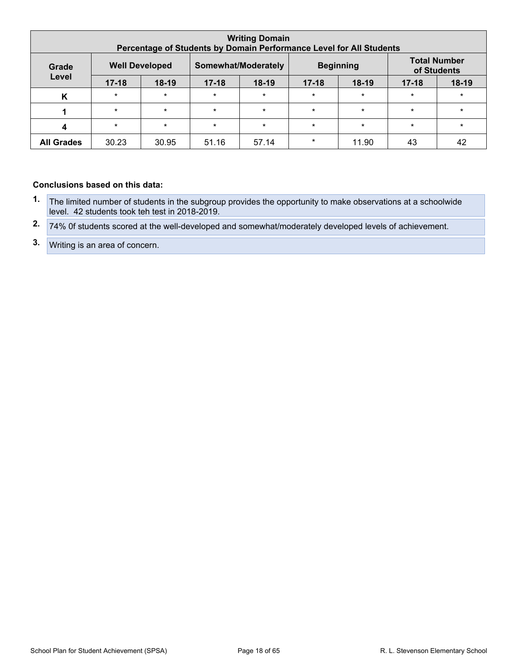| <b>Writing Domain</b><br>Percentage of Students by Domain Performance Level for All Students |           |         |                     |         |                  |         |                                    |         |
|----------------------------------------------------------------------------------------------|-----------|---------|---------------------|---------|------------------|---------|------------------------------------|---------|
| <b>Well Developed</b><br>Grade                                                               |           |         | Somewhat/Moderately |         | <b>Beginning</b> |         | <b>Total Number</b><br>of Students |         |
| Level                                                                                        | $17 - 18$ | $18-19$ | $17 - 18$           | $18-19$ | $17 - 18$        | $18-19$ | $17 - 18$                          | $18-19$ |
| K                                                                                            | $\star$   | $\star$ | $\star$             | $\star$ | $\star$          | $\star$ | $\star$                            | $\star$ |
|                                                                                              | $\star$   | $\star$ | $\star$             | $\star$ | $\star$          | $\star$ | $\star$                            | $\star$ |
| $\boldsymbol{\Lambda}$                                                                       | $\star$   | $\star$ | $\star$             | $\star$ | $\star$          | $\star$ | $\star$                            | $\star$ |
| <b>All Grades</b>                                                                            | 30.23     | 30.95   | 51.16               | 57.14   | $\star$          | 11.90   | 43                                 | 42      |

#### **Conclusions based on this data:**

- **1.** The limited number of students in the subgroup provides the opportunity to make observations at a schoolwide level. 42 students took teh test in 2018-2019.
- **2.** 74% 0f students scored at the well-developed and somewhat/moderately developed levels of achievement.
- **3.** Writing is an area of concern.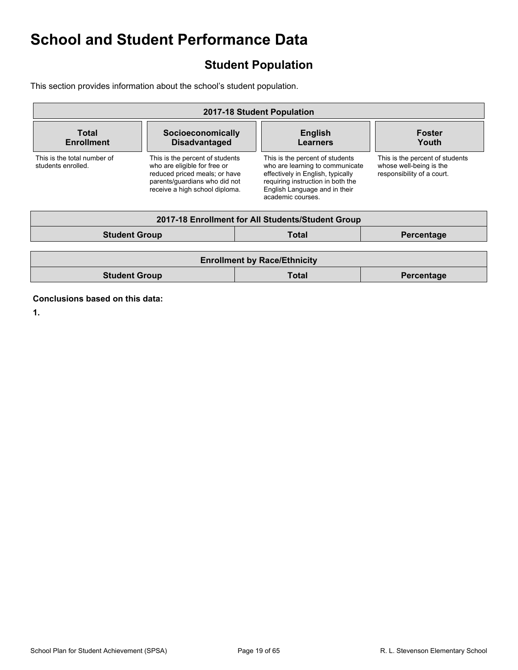## <span id="page-18-0"></span>**Student Population**

This section provides information about the school's student population.

| 2017-18 Student Population                                              |                                                                                                                                                                     |  |                                                                                                                                                                                                    |                                                                                          |  |  |  |
|-------------------------------------------------------------------------|---------------------------------------------------------------------------------------------------------------------------------------------------------------------|--|----------------------------------------------------------------------------------------------------------------------------------------------------------------------------------------------------|------------------------------------------------------------------------------------------|--|--|--|
| Total<br>Socioeconomically<br><b>Disadvantaged</b><br><b>Enrollment</b> |                                                                                                                                                                     |  | <b>English</b><br><b>Learners</b>                                                                                                                                                                  | <b>Foster</b><br>Youth                                                                   |  |  |  |
| This is the total number of<br>students enrolled.                       | This is the percent of students<br>who are eligible for free or<br>reduced priced meals; or have<br>parents/quardians who did not<br>receive a high school diploma. |  | This is the percent of students<br>who are learning to communicate<br>effectively in English, typically<br>requiring instruction in both the<br>English Language and in their<br>academic courses. | This is the percent of students<br>whose well-being is the<br>responsibility of a court. |  |  |  |
|                                                                         |                                                                                                                                                                     |  | 2017-18 Enrollment for All Students/Student Group                                                                                                                                                  |                                                                                          |  |  |  |
| <b>Student Group</b>                                                    |                                                                                                                                                                     |  | <b>Total</b>                                                                                                                                                                                       | Percentage                                                                               |  |  |  |
|                                                                         |                                                                                                                                                                     |  |                                                                                                                                                                                                    |                                                                                          |  |  |  |
| <b>Enrollment by Race/Ethnicity</b>                                     |                                                                                                                                                                     |  |                                                                                                                                                                                                    |                                                                                          |  |  |  |
| <b>Student Group</b>                                                    |                                                                                                                                                                     |  | Total                                                                                                                                                                                              | Percentage                                                                               |  |  |  |

**Conclusions based on this data:**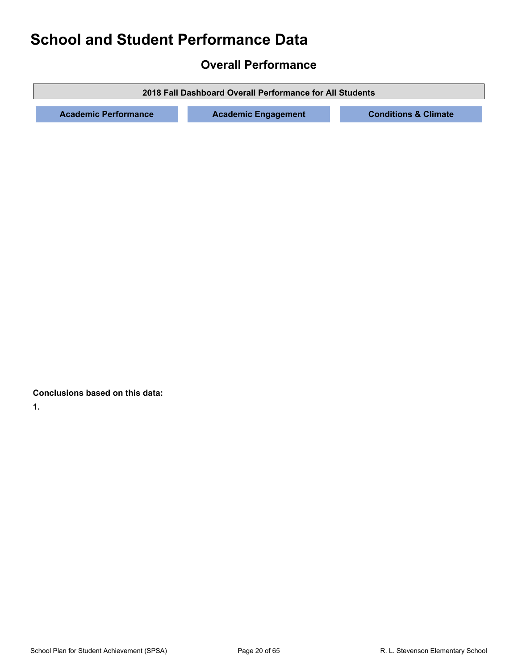## <span id="page-19-0"></span>**Overall Performance**

**2018 Fall Dashboard Overall Performance for All Students**

**Academic Performance Academic Engagement Conditions & Climate**

**Conclusions based on this data:**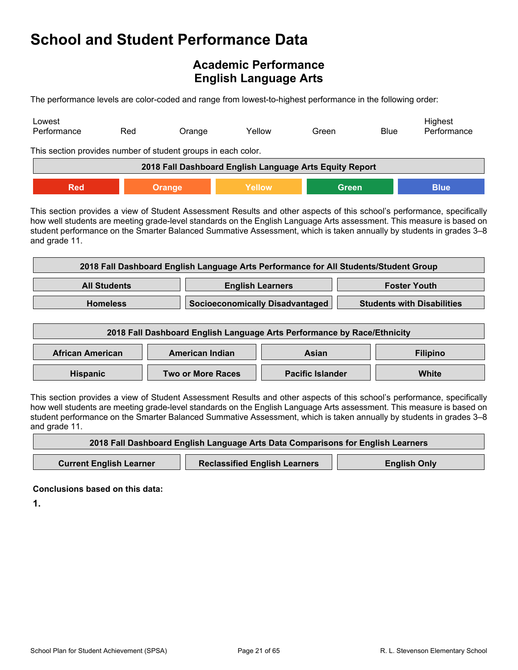## <span id="page-20-0"></span>**Academic Performance English Language Arts**

The performance levels are color-coded and range from lowest-to-highest performance in the following order:

| Lowest<br>Performance                                   | Red                                                           | Orange | Yellow | Green        | <b>Blue</b> | Highest<br>Performance |  |  |  |
|---------------------------------------------------------|---------------------------------------------------------------|--------|--------|--------------|-------------|------------------------|--|--|--|
|                                                         | This section provides number of student groups in each color. |        |        |              |             |                        |  |  |  |
| 2018 Fall Dashboard English Language Arts Equity Report |                                                               |        |        |              |             |                        |  |  |  |
| <b>Red</b>                                              |                                                               | Orange | Yellow | <b>Green</b> |             | <b>Blue</b>            |  |  |  |

This section provides a view of Student Assessment Results and other aspects of this school's performance, specifically how well students are meeting grade-level standards on the English Language Arts assessment. This measure is based on student performance on the Smarter Balanced Summative Assessment, which is taken annually by students in grades 3–8 and grade 11.

| 2018 Fall Dashboard English Language Arts Performance for All Students/Student Group |                                 |                                   |  |  |  |
|--------------------------------------------------------------------------------------|---------------------------------|-----------------------------------|--|--|--|
| <b>All Students</b><br><b>English Learners</b><br><b>Foster Youth</b>                |                                 |                                   |  |  |  |
| <b>Homeless</b>                                                                      | Socioeconomically Disadvantaged | <b>Students with Disabilities</b> |  |  |  |

| 2018 Fall Dashboard English Language Arts Performance by Race/Ethnicity |                   |                         |       |  |  |
|-------------------------------------------------------------------------|-------------------|-------------------------|-------|--|--|
| <b>African American</b><br>American Indian<br><b>Filipino</b><br>Asian  |                   |                         |       |  |  |
| <b>Hispanic</b>                                                         | Two or More Races | <b>Pacific Islander</b> | White |  |  |

This section provides a view of Student Assessment Results and other aspects of this school's performance, specifically how well students are meeting grade-level standards on the English Language Arts assessment. This measure is based on student performance on the Smarter Balanced Summative Assessment, which is taken annually by students in grades 3–8 and grade 11.

| 2018 Fall Dashboard English Language Arts Data Comparisons for English Learners |                                      |                     |  |  |  |  |  |
|---------------------------------------------------------------------------------|--------------------------------------|---------------------|--|--|--|--|--|
|                                                                                 |                                      |                     |  |  |  |  |  |
| <b>Current English Learner</b>                                                  | <b>Reclassified English Learners</b> | <b>English Only</b> |  |  |  |  |  |

**Conclusions based on this data:**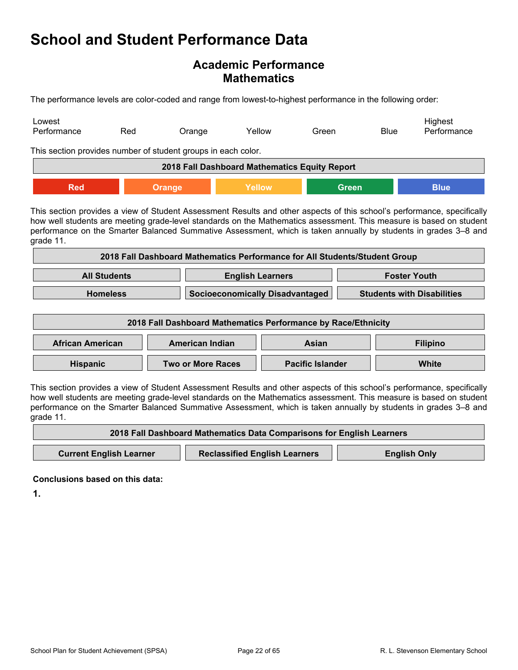### **Academic Performance Mathematics**

The performance levels are color-coded and range from lowest-to-highest performance in the following order:

| Lowest<br>Performance                         | Red<br>Orange                                                 | Yellow | Green        | Highest<br>Performance<br><b>Blue</b> |  |  |  |  |
|-----------------------------------------------|---------------------------------------------------------------|--------|--------------|---------------------------------------|--|--|--|--|
|                                               | This section provides number of student groups in each color. |        |              |                                       |  |  |  |  |
| 2018 Fall Dashboard Mathematics Equity Report |                                                               |        |              |                                       |  |  |  |  |
| <b>Red</b>                                    | Orange                                                        | Yellow | <b>Green</b> | <b>Blue</b>                           |  |  |  |  |

This section provides a view of Student Assessment Results and other aspects of this school's performance, specifically how well students are meeting grade-level standards on the Mathematics assessment. This measure is based on student performance on the Smarter Balanced Summative Assessment, which is taken annually by students in grades 3–8 and grade 11.

| 2018 Fall Dashboard Mathematics Performance for All Students/Student Group |                                                                      |  |  |  |  |
|----------------------------------------------------------------------------|----------------------------------------------------------------------|--|--|--|--|
| <b>All Students</b><br><b>English Learners</b><br><b>Foster Youth</b>      |                                                                      |  |  |  |  |
| <b>Homeless</b>                                                            | Socioeconomically Disadvantaged<br><b>Students with Disabilities</b> |  |  |  |  |

| 2018 Fall Dashboard Mathematics Performance by Race/Ethnicity          |                          |                         |       |  |  |
|------------------------------------------------------------------------|--------------------------|-------------------------|-------|--|--|
| <b>African American</b><br>American Indian<br><b>Filipino</b><br>Asian |                          |                         |       |  |  |
| <b>Hispanic</b>                                                        | <b>Two or More Races</b> | <b>Pacific Islander</b> | White |  |  |

This section provides a view of Student Assessment Results and other aspects of this school's performance, specifically how well students are meeting grade-level standards on the Mathematics assessment. This measure is based on student performance on the Smarter Balanced Summative Assessment, which is taken annually by students in grades 3–8 and grade 11.

| 2018 Fall Dashboard Mathematics Data Comparisons for English Learners |                                      |                     |  |  |  |
|-----------------------------------------------------------------------|--------------------------------------|---------------------|--|--|--|
| <b>Current English Learner</b>                                        | <b>Reclassified English Learners</b> | <b>English Only</b> |  |  |  |

**Conclusions based on this data:**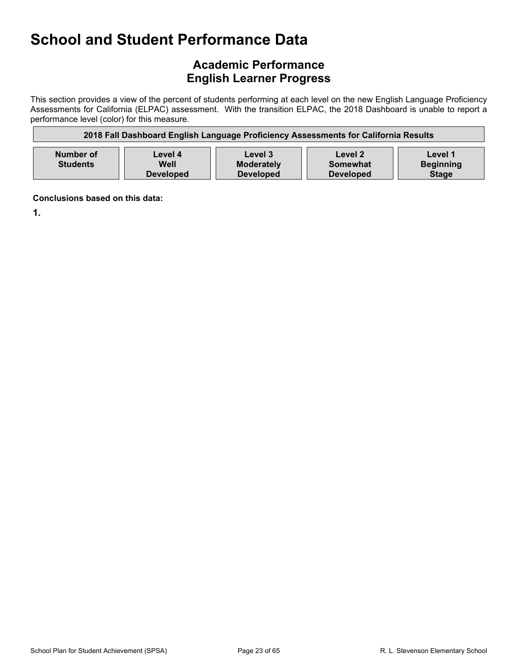## **Academic Performance English Learner Progress**

This section provides a view of the percent of students performing at each level on the new English Language Proficiency Assessments for California (ELPAC) assessment. With the transition ELPAC, the 2018 Dashboard is unable to report a performance level (color) for this measure.

| 2018 Fall Dashboard English Language Proficiency Assessments for California Results |                                     |                                                  |                                         |                                             |  |  |
|-------------------------------------------------------------------------------------|-------------------------------------|--------------------------------------------------|-----------------------------------------|---------------------------------------------|--|--|
| Number of<br><b>Students</b>                                                        | Level 4<br>Well<br><b>Developed</b> | Level 3<br><b>Moderately</b><br><b>Developed</b> | Level 2<br>Somewhat<br><b>Developed</b> | Level 1<br><b>Beginning</b><br><b>Stage</b> |  |  |

**Conclusions based on this data:**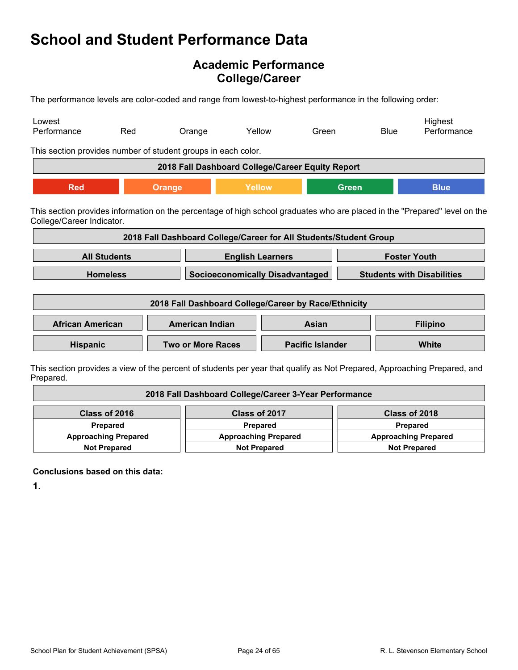## **Academic Performance College/Career**

The performance levels are color-coded and range from lowest-to-highest performance in the following order:

| Lowest<br>Performance                                                                                                                                   | Red                 | Orange                                                            | Yellow                                 | Green                   |              | <b>Blue</b>                       | Highest<br>Performance                                                                                                   |
|---------------------------------------------------------------------------------------------------------------------------------------------------------|---------------------|-------------------------------------------------------------------|----------------------------------------|-------------------------|--------------|-----------------------------------|--------------------------------------------------------------------------------------------------------------------------|
| This section provides number of student groups in each color.                                                                                           |                     |                                                                   |                                        |                         |              |                                   |                                                                                                                          |
|                                                                                                                                                         |                     | 2018 Fall Dashboard College/Career Equity Report                  |                                        |                         |              |                                   |                                                                                                                          |
| <b>Red</b>                                                                                                                                              |                     | <b>Orange</b>                                                     | Yellow                                 |                         | <b>Green</b> |                                   | <b>Blue</b>                                                                                                              |
| This section provides information on the percentage of high school graduates who are placed in the "Prepared" level on the<br>College/Career Indicator. |                     |                                                                   |                                        |                         |              |                                   |                                                                                                                          |
|                                                                                                                                                         |                     | 2018 Fall Dashboard College/Career for All Students/Student Group |                                        |                         |              |                                   |                                                                                                                          |
|                                                                                                                                                         | <b>All Students</b> |                                                                   | <b>English Learners</b>                |                         |              | <b>Foster Youth</b>               |                                                                                                                          |
|                                                                                                                                                         | <b>Homeless</b>     |                                                                   | <b>Socioeconomically Disadvantaged</b> |                         |              | <b>Students with Disabilities</b> |                                                                                                                          |
| 2018 Fall Dashboard College/Career by Race/Ethnicity                                                                                                    |                     |                                                                   |                                        |                         |              |                                   |                                                                                                                          |
| <b>African American</b>                                                                                                                                 |                     | <b>American Indian</b>                                            |                                        | Asian                   |              |                                   | <b>Filipino</b>                                                                                                          |
| <b>Hispanic</b>                                                                                                                                         |                     | <b>Two or More Races</b>                                          |                                        | <b>Pacific Islander</b> |              |                                   | <b>White</b>                                                                                                             |
|                                                                                                                                                         |                     |                                                                   |                                        |                         |              |                                   | This section provides a view of the percent of students per vear that qualify as Not Prepared. Approaching Prepared, and |

ection provides a view of the percent of students per year that qualify as Not Prepared, Approaching Prepared, and Prepared.

| 2018 Fall Dashboard College/Career 3-Year Performance |                             |                             |  |
|-------------------------------------------------------|-----------------------------|-----------------------------|--|
| Class of 2016                                         | Class of 2017               | Class of 2018               |  |
| Prepared                                              | Prepared                    | Prepared                    |  |
| <b>Approaching Prepared</b>                           | <b>Approaching Prepared</b> | <b>Approaching Prepared</b> |  |
| <b>Not Prepared</b>                                   | <b>Not Prepared</b>         | <b>Not Prepared</b>         |  |

**Conclusions based on this data:**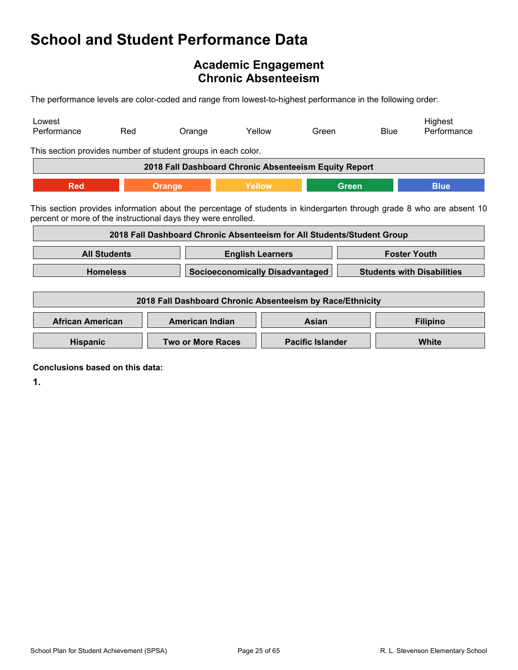## <span id="page-24-0"></span>**Academic Engagement Chronic Absenteeism**

The performance levels are color-coded and range from lowest-to-highest performance in the following order:

| Lowest<br>Performance                                         | Red                                                                   | Orange                                                                 | Yellow | Green                                  |              | Highest<br>Performance<br>Blue                                                                                       |
|---------------------------------------------------------------|-----------------------------------------------------------------------|------------------------------------------------------------------------|--------|----------------------------------------|--------------|----------------------------------------------------------------------------------------------------------------------|
| This section provides number of student groups in each color. |                                                                       |                                                                        |        |                                        |              |                                                                                                                      |
|                                                               |                                                                       | 2018 Fall Dashboard Chronic Absenteeism Equity Report                  |        |                                        |              |                                                                                                                      |
| <b>Red</b>                                                    |                                                                       | Orange                                                                 | Yellow |                                        | <b>Green</b> | <b>Blue</b>                                                                                                          |
| percent or more of the instructional days they were enrolled. |                                                                       | 2018 Fall Dashboard Chronic Absenteeism for All Students/Student Group |        |                                        |              | This section provides information about the percentage of students in kindergarten through grade 8 who are absent 10 |
|                                                               | <b>Foster Youth</b><br><b>All Students</b><br><b>English Learners</b> |                                                                        |        |                                        |              |                                                                                                                      |
|                                                               | <b>Homeless</b>                                                       |                                                                        |        | <b>Socioeconomically Disadvantaged</b> |              | <b>Students with Disabilities</b>                                                                                    |
| 2018 Fall Dashboard Chronic Absenteeism by Race/Ethnicity     |                                                                       |                                                                        |        |                                        |              |                                                                                                                      |
| <b>African American</b>                                       |                                                                       | <b>American Indian</b>                                                 |        | Asian                                  |              | <b>Filipino</b>                                                                                                      |
| <b>Hispanic</b>                                               |                                                                       | <b>Two or More Races</b>                                               |        | <b>Pacific Islander</b>                |              | <b>White</b>                                                                                                         |

**Conclusions based on this data:**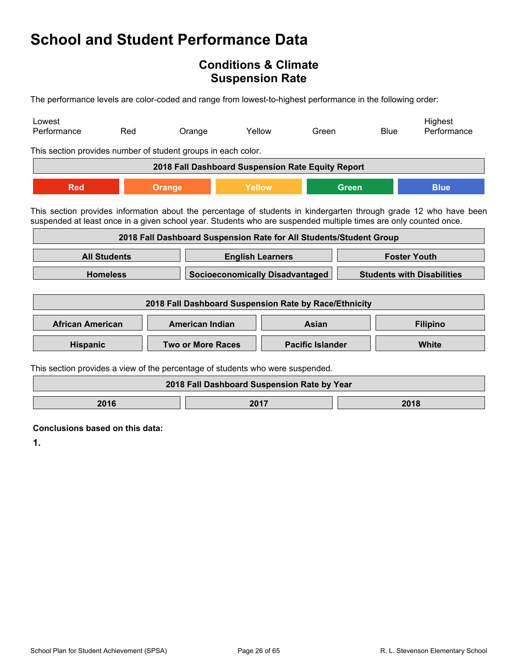## <span id="page-25-0"></span>**Conditions & Climate Suspension Rate**

The performance levels are color-coded and range from lowest-to-highest performance in the following order:

| Lowest<br>Performance                                                                                                                                                                                                                 | Red                 |                                                                             | Orange                                                | Yellow                  | Green |              | <b>Blue</b>     | Highest<br>Performance |
|---------------------------------------------------------------------------------------------------------------------------------------------------------------------------------------------------------------------------------------|---------------------|-----------------------------------------------------------------------------|-------------------------------------------------------|-------------------------|-------|--------------|-----------------|------------------------|
| This section provides number of student groups in each color.                                                                                                                                                                         |                     |                                                                             |                                                       |                         |       |              |                 |                        |
|                                                                                                                                                                                                                                       |                     |                                                                             | 2018 Fall Dashboard Suspension Rate Equity Report     |                         |       |              |                 |                        |
| <b>Red</b>                                                                                                                                                                                                                            |                     | Orange                                                                      |                                                       | <b>Yellow</b>           |       | <b>Green</b> |                 | <b>Blue</b>            |
| This section provides information about the percentage of students in kindergarten through grade 12 who have been<br>suspended at least once in a given school year. Students who are suspended multiple times are only counted once. |                     |                                                                             |                                                       |                         |       |              |                 |                        |
| 2018 Fall Dashboard Suspension Rate for All Students/Student Group                                                                                                                                                                    |                     |                                                                             |                                                       |                         |       |              |                 |                        |
|                                                                                                                                                                                                                                       | <b>All Students</b> | <b>Foster Youth</b><br><b>English Learners</b>                              |                                                       |                         |       |              |                 |                        |
|                                                                                                                                                                                                                                       | <b>Homeless</b>     | <b>Socioeconomically Disadvantaged</b><br><b>Students with Disabilities</b> |                                                       |                         |       |              |                 |                        |
|                                                                                                                                                                                                                                       |                     |                                                                             | 2018 Fall Dashboard Suspension Rate by Race/Ethnicity |                         |       |              |                 |                        |
| <b>African American</b>                                                                                                                                                                                                               |                     | <b>American Indian</b>                                                      |                                                       | Asian                   |       |              | <b>Filipino</b> |                        |
| <b>Hispanic</b>                                                                                                                                                                                                                       |                     | <b>Two or More Races</b>                                                    |                                                       | <b>Pacific Islander</b> |       |              |                 | White                  |
| This section provides a view of the percentage of students who were suspended.                                                                                                                                                        |                     |                                                                             |                                                       |                         |       |              |                 |                        |
|                                                                                                                                                                                                                                       |                     |                                                                             | 2018 Fall Dashboard Suspension Rate by Year           |                         |       |              |                 |                        |
|                                                                                                                                                                                                                                       | 2016<br>2017        |                                                                             |                                                       | 2018                    |       |              |                 |                        |

**Conclusions based on this data:**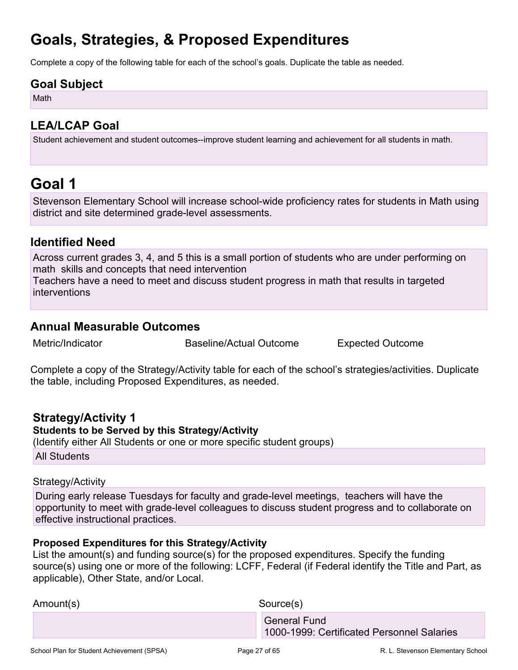## <span id="page-26-0"></span>**Goals, Strategies, & Proposed Expenditures**

Complete a copy of the following table for each of the school's goals. Duplicate the table as needed.

### **Goal Subject**

Math

## **LEA/LCAP Goal**

Student achievement and student outcomes--improve student learning and achievement for all students in math.

## <span id="page-26-1"></span>**Goal 1**

Stevenson Elementary School will increase school-wide proficiency rates for students in Math using district and site determined grade-level assessments.

### **Identified Need**

Across current grades 3, 4, and 5 this is a small portion of students who are under performing on math skills and concepts that need intervention Teachers have a need to meet and discuss student progress in math that results in targeted interventions

### **Annual Measurable Outcomes**

Metric/Indicator Baseline/Actual Outcome Expected Outcome

Complete a copy of the Strategy/Activity table for each of the school's strategies/activities. Duplicate the table, including Proposed Expenditures, as needed.

### **Strategy/Activity 1 Students to be Served by this Strategy/Activity** (Identify either All Students or one or more specific student groups)

All Students

#### Strategy/Activity

During early release Tuesdays for faculty and grade-level meetings, teachers will have the opportunity to meet with grade-level colleagues to discuss student progress and to collaborate on effective instructional practices.

### **Proposed Expenditures for this Strategy/Activity**

| 1000-1999: Certificated Personnel Salaries |
|--------------------------------------------|
|                                            |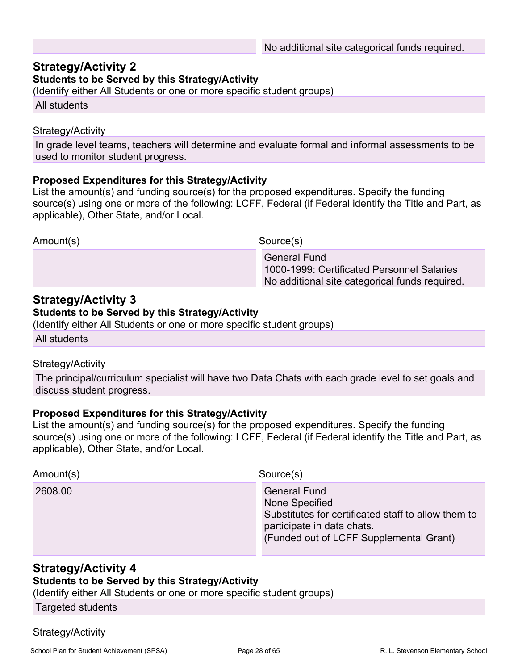## **Strategy/Activity 2**

#### **Students to be Served by this Strategy/Activity**

(Identify either All Students or one or more specific student groups)

All students

#### Strategy/Activity

In grade level teams, teachers will determine and evaluate formal and informal assessments to be used to monitor student progress.

#### **Proposed Expenditures for this Strategy/Activity**

List the amount(s) and funding source(s) for the proposed expenditures. Specify the funding source(s) using one or more of the following: LCFF, Federal (if Federal identify the Title and Part, as applicable), Other State, and/or Local.

Amount(s) Source(s)

 General Fund 1000-1999: Certificated Personnel Salaries No additional site categorical funds required.

### **Strategy/Activity 3**

#### **Students to be Served by this Strategy/Activity**

(Identify either All Students or one or more specific student groups)

All students

#### Strategy/Activity

The principal/curriculum specialist will have two Data Chats with each grade level to set goals and discuss student progress.

#### **Proposed Expenditures for this Strategy/Activity**

List the amount(s) and funding source(s) for the proposed expenditures. Specify the funding source(s) using one or more of the following: LCFF, Federal (if Federal identify the Title and Part, as applicable), Other State, and/or Local.

| Amount(s) | Source(s)                                                                                                                                                             |
|-----------|-----------------------------------------------------------------------------------------------------------------------------------------------------------------------|
| 2608.00   | <b>General Fund</b><br>None Specified<br>Substitutes for certificated staff to allow them to<br>participate in data chats.<br>(Funded out of LCFF Supplemental Grant) |

## **Strategy/Activity 4**

**Students to be Served by this Strategy/Activity**

(Identify either All Students or one or more specific student groups)

Targeted students

### Strategy/Activity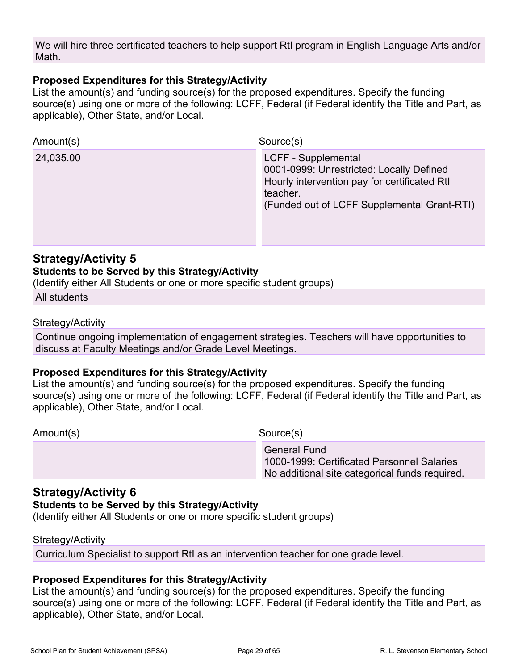We will hire three certificated teachers to help support RtI program in English Language Arts and/or Math.

#### **Proposed Expenditures for this Strategy/Activity**

List the amount(s) and funding source(s) for the proposed expenditures. Specify the funding source(s) using one or more of the following: LCFF, Federal (if Federal identify the Title and Part, as applicable), Other State, and/or Local.

| Amount(s) | Source(s)                                                                                                                                                                  |
|-----------|----------------------------------------------------------------------------------------------------------------------------------------------------------------------------|
| 24,035.00 | LCFF - Supplemental<br>0001-0999: Unrestricted: Locally Defined<br>Hourly intervention pay for certificated RtI<br>teacher.<br>(Funded out of LCFF Supplemental Grant-RTI) |

### **Strategy/Activity 5**

#### **Students to be Served by this Strategy/Activity**

(Identify either All Students or one or more specific student groups)

All students

#### Strategy/Activity

Continue ongoing implementation of engagement strategies. Teachers will have opportunities to discuss at Faculty Meetings and/or Grade Level Meetings.

#### **Proposed Expenditures for this Strategy/Activity**

List the amount(s) and funding source(s) for the proposed expenditures. Specify the funding source(s) using one or more of the following: LCFF, Federal (if Federal identify the Title and Part, as applicable), Other State, and/or Local.

Amount(s) Source(s)

 General Fund 1000-1999: Certificated Personnel Salaries No additional site categorical funds required.

### **Strategy/Activity 6**

#### **Students to be Served by this Strategy/Activity**

(Identify either All Students or one or more specific student groups)

#### Strategy/Activity

Curriculum Specialist to support RtI as an intervention teacher for one grade level.

#### **Proposed Expenditures for this Strategy/Activity**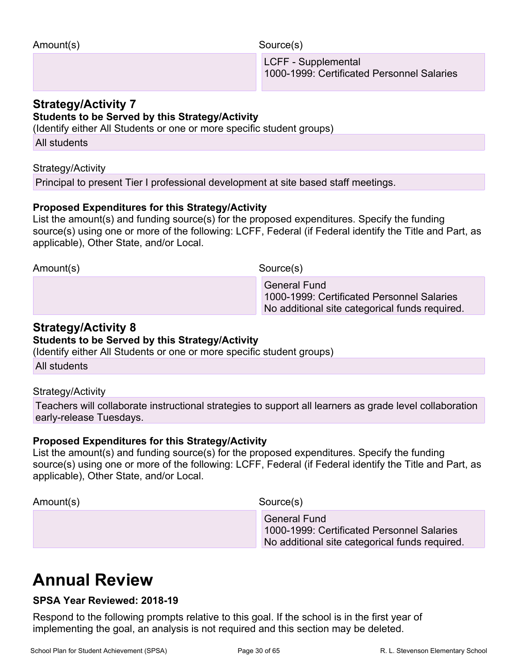Amount(s) Source(s)

 LCFF - Supplemental 1000-1999: Certificated Personnel Salaries

### **Strategy/Activity 7**

#### **Students to be Served by this Strategy/Activity**

(Identify either All Students or one or more specific student groups)

All students

#### Strategy/Activity

Principal to present Tier I professional development at site based staff meetings.

#### **Proposed Expenditures for this Strategy/Activity**

List the amount(s) and funding source(s) for the proposed expenditures. Specify the funding source(s) using one or more of the following: LCFF, Federal (if Federal identify the Title and Part, as applicable), Other State, and/or Local.

Amount(s) Source(s)

 General Fund 1000-1999: Certificated Personnel Salaries No additional site categorical funds required.

### **Strategy/Activity 8**

#### **Students to be Served by this Strategy/Activity**

(Identify either All Students or one or more specific student groups)

All students

Strategy/Activity

Teachers will collaborate instructional strategies to support all learners as grade level collaboration early-release Tuesdays.

#### **Proposed Expenditures for this Strategy/Activity**

List the amount(s) and funding source(s) for the proposed expenditures. Specify the funding source(s) using one or more of the following: LCFF, Federal (if Federal identify the Title and Part, as applicable), Other State, and/or Local.

Amount(s) Source(s)

 General Fund 1000-1999: Certificated Personnel Salaries No additional site categorical funds required.

## **Annual Review**

### **SPSA Year Reviewed: 2018-19**

Respond to the following prompts relative to this goal. If the school is in the first year of implementing the goal, an analysis is not required and this section may be deleted.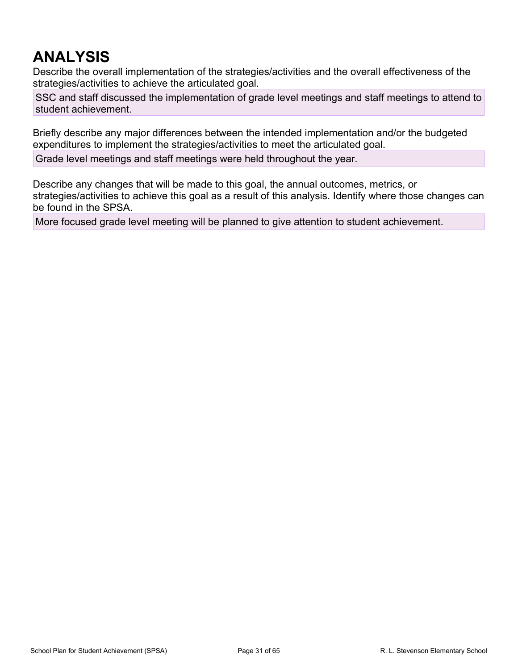## **ANALYSIS**

Describe the overall implementation of the strategies/activities and the overall effectiveness of the strategies/activities to achieve the articulated goal.

SSC and staff discussed the implementation of grade level meetings and staff meetings to attend to student achievement.

Briefly describe any major differences between the intended implementation and/or the budgeted expenditures to implement the strategies/activities to meet the articulated goal.

Grade level meetings and staff meetings were held throughout the year.

Describe any changes that will be made to this goal, the annual outcomes, metrics, or strategies/activities to achieve this goal as a result of this analysis. Identify where those changes can be found in the SPSA.

More focused grade level meeting will be planned to give attention to student achievement.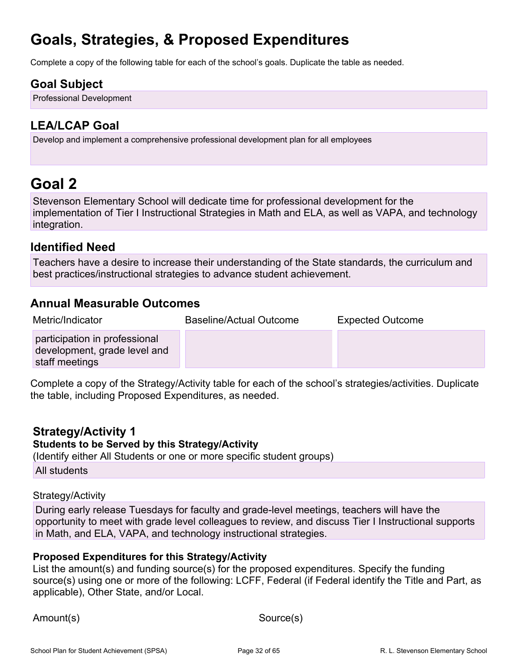# **Goals, Strategies, & Proposed Expenditures**

Complete a copy of the following table for each of the school's goals. Duplicate the table as needed.

## **Goal Subject**

Professional Development

## **LEA/LCAP Goal**

Develop and implement a comprehensive professional development plan for all employees

## <span id="page-31-0"></span>**Goal 2**

Stevenson Elementary School will dedicate time for professional development for the implementation of Tier I Instructional Strategies in Math and ELA, as well as VAPA, and technology integration.

## **Identified Need**

Teachers have a desire to increase their understanding of the State standards, the curriculum and best practices/instructional strategies to advance student achievement.

## **Annual Measurable Outcomes**

| Metric/Indicator                                                                | Baseline/Actual Outcome | <b>Expected Outcome</b> |
|---------------------------------------------------------------------------------|-------------------------|-------------------------|
| participation in professional<br>development, grade level and<br>staff meetings |                         |                         |

Complete a copy of the Strategy/Activity table for each of the school's strategies/activities. Duplicate the table, including Proposed Expenditures, as needed.

### **Strategy/Activity 1**

#### **Students to be Served by this Strategy/Activity**

(Identify either All Students or one or more specific student groups)

All students

#### Strategy/Activity

During early release Tuesdays for faculty and grade-level meetings, teachers will have the opportunity to meet with grade level colleagues to review, and discuss Tier I Instructional supports in Math, and ELA, VAPA, and technology instructional strategies.

#### **Proposed Expenditures for this Strategy/Activity**

List the amount(s) and funding source(s) for the proposed expenditures. Specify the funding source(s) using one or more of the following: LCFF, Federal (if Federal identify the Title and Part, as applicable), Other State, and/or Local.

Amount(s) Source(s)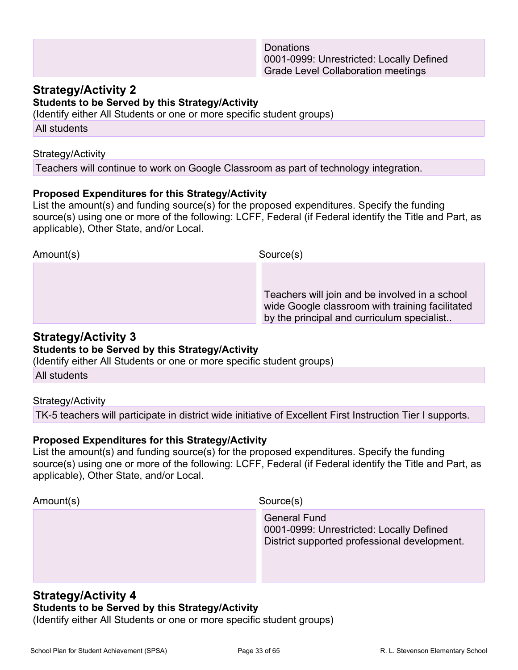### **Strategy/Activity 2**

**Students to be Served by this Strategy/Activity**

(Identify either All Students or one or more specific student groups)

All students

#### Strategy/Activity

Teachers will continue to work on Google Classroom as part of technology integration.

#### **Proposed Expenditures for this Strategy/Activity**

List the amount(s) and funding source(s) for the proposed expenditures. Specify the funding source(s) using one or more of the following: LCFF, Federal (if Federal identify the Title and Part, as applicable), Other State, and/or Local.

| Amount(s) | Source(s)                                                                                                                                       |
|-----------|-------------------------------------------------------------------------------------------------------------------------------------------------|
|           |                                                                                                                                                 |
|           | Teachers will join and be involved in a school<br>wide Google classroom with training facilitated<br>by the principal and curriculum specialist |

### **Strategy/Activity 3**

#### **Students to be Served by this Strategy/Activity**

(Identify either All Students or one or more specific student groups)

All students

Strategy/Activity

TK-5 teachers will participate in district wide initiative of Excellent First Instruction Tier I supports.

#### **Proposed Expenditures for this Strategy/Activity**

List the amount(s) and funding source(s) for the proposed expenditures. Specify the funding source(s) using one or more of the following: LCFF, Federal (if Federal identify the Title and Part, as applicable), Other State, and/or Local.

| Amount(s) | Source(s)                                                                                                       |
|-----------|-----------------------------------------------------------------------------------------------------------------|
|           | <b>General Fund</b><br>0001-0999: Unrestricted: Locally Defined<br>District supported professional development. |
|           |                                                                                                                 |

#### **Strategy/Activity 4 Students to be Served by this Strategy/Activity**

(Identify either All Students or one or more specific student groups)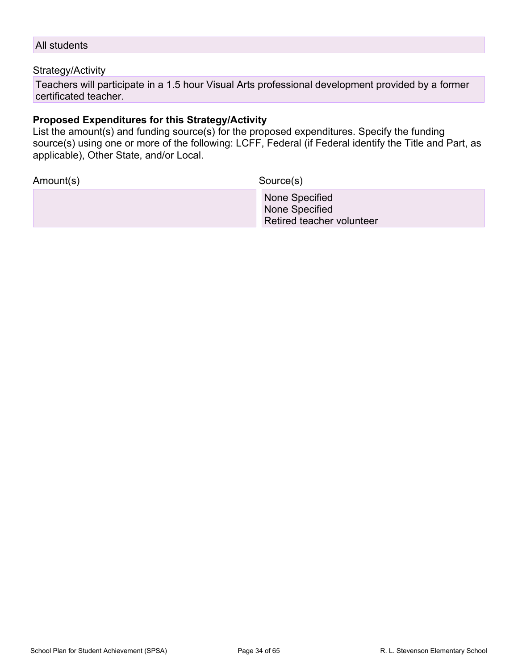#### All students

#### Strategy/Activity

Teachers will participate in a 1.5 hour Visual Arts professional development provided by a former certificated teacher.

#### **Proposed Expenditures for this Strategy/Activity**

List the amount(s) and funding source(s) for the proposed expenditures. Specify the funding source(s) using one or more of the following: LCFF, Federal (if Federal identify the Title and Part, as applicable), Other State, and/or Local.

Amount(s) Source(s)

 None Specified None Specified Retired teacher volunteer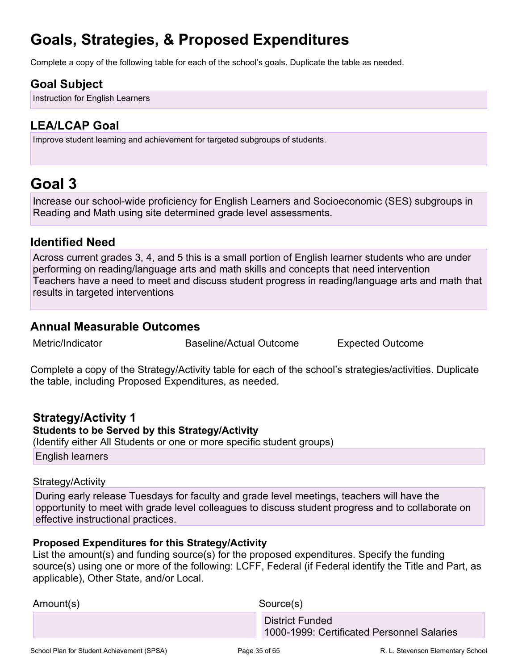## **Goals, Strategies, & Proposed Expenditures**

Complete a copy of the following table for each of the school's goals. Duplicate the table as needed.

## **Goal Subject**

Instruction for English Learners

## **LEA/LCAP Goal**

Improve student learning and achievement for targeted subgroups of students.

## <span id="page-34-0"></span>**Goal 3**

Increase our school-wide proficiency for English Learners and Socioeconomic (SES) subgroups in Reading and Math using site determined grade level assessments.

### **Identified Need**

Across current grades 3, 4, and 5 this is a small portion of English learner students who are under performing on reading/language arts and math skills and concepts that need intervention Teachers have a need to meet and discuss student progress in reading/language arts and math that results in targeted interventions

### **Annual Measurable Outcomes**

Metric/Indicator Baseline/Actual Outcome Expected Outcome

Complete a copy of the Strategy/Activity table for each of the school's strategies/activities. Duplicate the table, including Proposed Expenditures, as needed.

### **Strategy/Activity 1**

**Students to be Served by this Strategy/Activity**

(Identify either All Students or one or more specific student groups)

English learners

#### Strategy/Activity

During early release Tuesdays for faculty and grade level meetings, teachers will have the opportunity to meet with grade level colleagues to discuss student progress and to collaborate on effective instructional practices.

#### **Proposed Expenditures for this Strategy/Activity**

| <b>District Funded</b>                     |  |
|--------------------------------------------|--|
| 1000-1999: Certificated Personnel Salaries |  |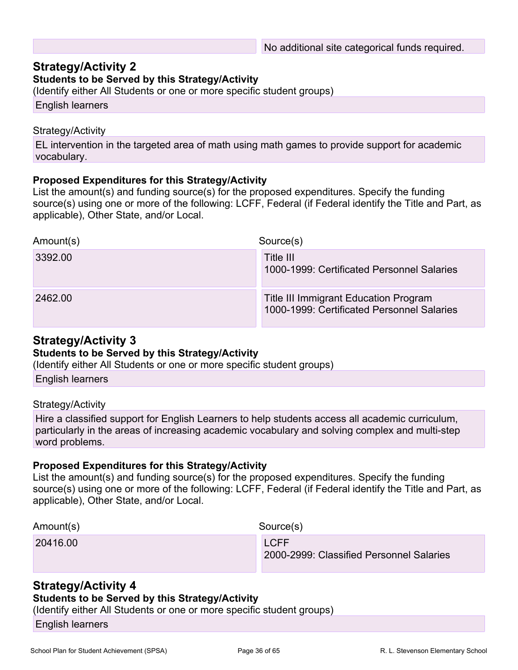### **Strategy/Activity 2**

#### **Students to be Served by this Strategy/Activity**

(Identify either All Students or one or more specific student groups)

English learners

#### Strategy/Activity

EL intervention in the targeted area of math using math games to provide support for academic vocabulary.

#### **Proposed Expenditures for this Strategy/Activity**

List the amount(s) and funding source(s) for the proposed expenditures. Specify the funding source(s) using one or more of the following: LCFF, Federal (if Federal identify the Title and Part, as applicable), Other State, and/or Local.

| Amount(s) | Source(s)                                                                           |
|-----------|-------------------------------------------------------------------------------------|
| 3392.00   | Title III<br>1000-1999: Certificated Personnel Salaries                             |
| 2462.00   | Title III Immigrant Education Program<br>1000-1999: Certificated Personnel Salaries |

#### **Strategy/Activity 3**

#### **Students to be Served by this Strategy/Activity**

(Identify either All Students or one or more specific student groups)

English learners

#### Strategy/Activity

Hire a classified support for English Learners to help students access all academic curriculum, particularly in the areas of increasing academic vocabulary and solving complex and multi-step word problems.

#### **Proposed Expenditures for this Strategy/Activity**

List the amount(s) and funding source(s) for the proposed expenditures. Specify the funding source(s) using one or more of the following: LCFF, Federal (if Federal identify the Title and Part, as applicable), Other State, and/or Local.

| Amount(s) | Source(s)                                               |
|-----------|---------------------------------------------------------|
| 20416.00  | <b>LCFF</b><br>2000-2999: Classified Personnel Salaries |

### **Strategy/Activity 4**

#### **Students to be Served by this Strategy/Activity**

(Identify either All Students or one or more specific student groups)

English learners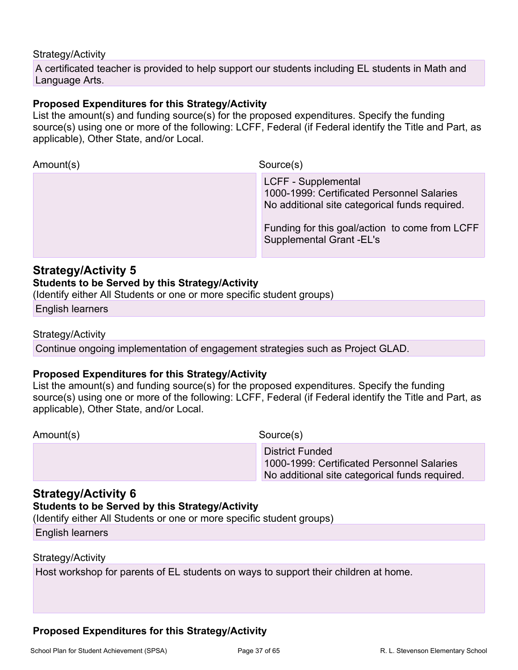#### Strategy/Activity

A certificated teacher is provided to help support our students including EL students in Math and Language Arts.

#### **Proposed Expenditures for this Strategy/Activity**

List the amount(s) and funding source(s) for the proposed expenditures. Specify the funding source(s) using one or more of the following: LCFF, Federal (if Federal identify the Title and Part, as applicable), Other State, and/or Local.

Amount(s) Source(s) LCFF - Supplemental 1000-1999: Certificated Personnel Salaries No additional site categorical funds required. Funding for this goal/action to come from LCFF Supplemental Grant -EL's

#### **Strategy/Activity 5**

#### **Students to be Served by this Strategy/Activity**

(Identify either All Students or one or more specific student groups)

English learners

#### Strategy/Activity

Continue ongoing implementation of engagement strategies such as Project GLAD.

#### **Proposed Expenditures for this Strategy/Activity**

List the amount(s) and funding source(s) for the proposed expenditures. Specify the funding source(s) using one or more of the following: LCFF, Federal (if Federal identify the Title and Part, as applicable), Other State, and/or Local.

Amount(s) Source(s)

 District Funded 1000-1999: Certificated Personnel Salaries No additional site categorical funds required.

### **Strategy/Activity 6**

#### **Students to be Served by this Strategy/Activity**

(Identify either All Students or one or more specific student groups)

English learners

#### Strategy/Activity

Host workshop for parents of EL students on ways to support their children at home.

#### **Proposed Expenditures for this Strategy/Activity**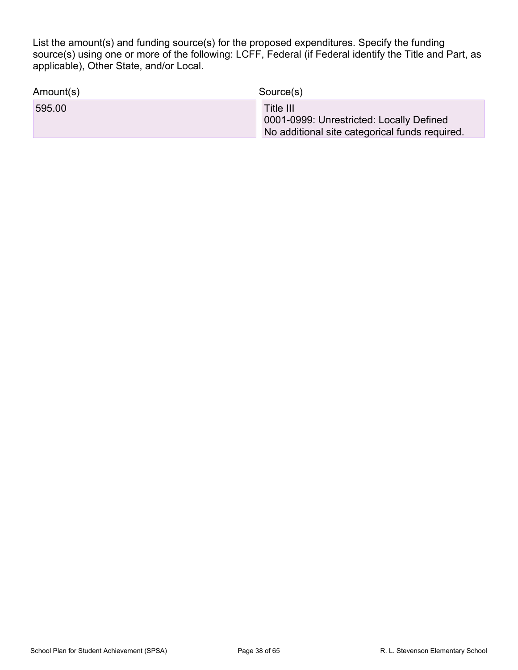| Amount(s) | Source(s)                                                                                               |
|-----------|---------------------------------------------------------------------------------------------------------|
| 595.00    | Title III<br>0001-0999: Unrestricted: Locally Defined<br>No additional site categorical funds required. |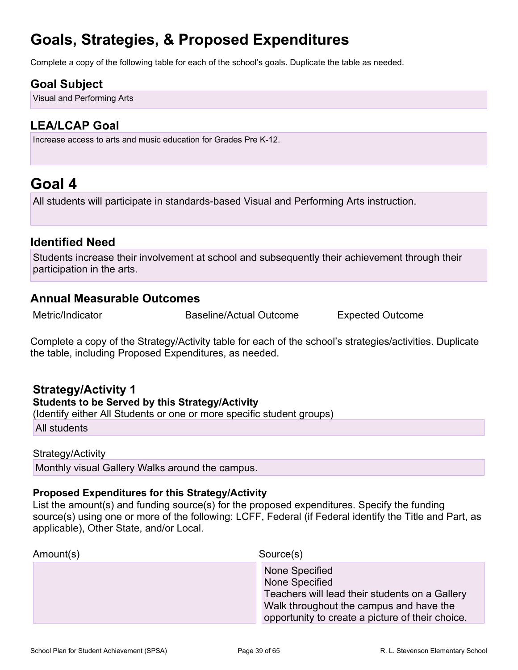## **Goals, Strategies, & Proposed Expenditures**

Complete a copy of the following table for each of the school's goals. Duplicate the table as needed.

## **Goal Subject**

Visual and Performing Arts

## **LEA/LCAP Goal**

Increase access to arts and music education for Grades Pre K-12.

## <span id="page-38-0"></span>**Goal 4**

All students will participate in standards-based Visual and Performing Arts instruction.

### **Identified Need**

Students increase their involvement at school and subsequently their achievement through their participation in the arts.

### **Annual Measurable Outcomes**

Metric/Indicator Baseline/Actual Outcome Expected Outcome

Complete a copy of the Strategy/Activity table for each of the school's strategies/activities. Duplicate the table, including Proposed Expenditures, as needed.

## **Strategy/Activity 1**

#### **Students to be Served by this Strategy/Activity**

(Identify either All Students or one or more specific student groups)

All students

#### Strategy/Activity

Monthly visual Gallery Walks around the campus.

#### **Proposed Expenditures for this Strategy/Activity**

| Amount(s) | Source(s)                                                                                                                                                                         |
|-----------|-----------------------------------------------------------------------------------------------------------------------------------------------------------------------------------|
|           | None Specified<br>None Specified<br>Teachers will lead their students on a Gallery<br>Walk throughout the campus and have the<br>opportunity to create a picture of their choice. |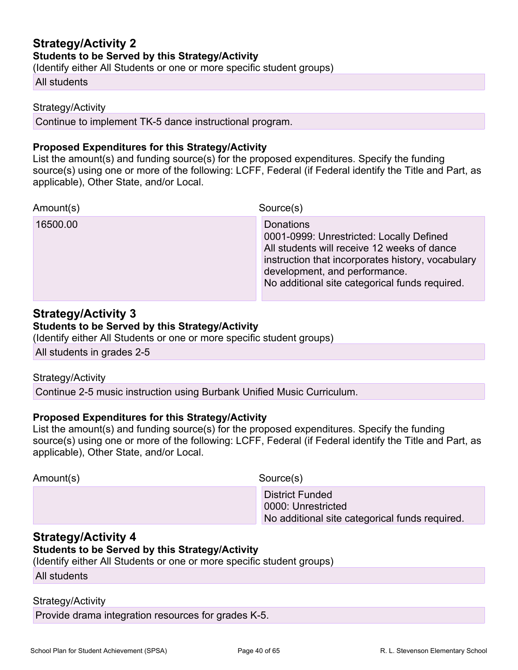## **Strategy/Activity 2 Students to be Served by this Strategy/Activity**

(Identify either All Students or one or more specific student groups)

#### All students

#### Strategy/Activity

Continue to implement TK-5 dance instructional program.

#### **Proposed Expenditures for this Strategy/Activity**

List the amount(s) and funding source(s) for the proposed expenditures. Specify the funding source(s) using one or more of the following: LCFF, Federal (if Federal identify the Title and Part, as applicable), Other State, and/or Local.

| Amount(s) | Source(s)                                                                                                                                                                                                                                           |
|-----------|-----------------------------------------------------------------------------------------------------------------------------------------------------------------------------------------------------------------------------------------------------|
| 16500.00  | <b>Donations</b><br>0001-0999: Unrestricted: Locally Defined<br>All students will receive 12 weeks of dance<br>instruction that incorporates history, vocabulary<br>development, and performance.<br>No additional site categorical funds required. |

#### **Strategy/Activity 3**

#### **Students to be Served by this Strategy/Activity**

(Identify either All Students or one or more specific student groups)

All students in grades 2-5

#### Strategy/Activity

Continue 2-5 music instruction using Burbank Unified Music Curriculum.

#### **Proposed Expenditures for this Strategy/Activity**

List the amount(s) and funding source(s) for the proposed expenditures. Specify the funding source(s) using one or more of the following: LCFF, Federal (if Federal identify the Title and Part, as applicable), Other State, and/or Local.

| Amount(s) | Source(s)                                                                                      |
|-----------|------------------------------------------------------------------------------------------------|
|           | <b>District Funded</b><br>0000: Unrestricted<br>No additional site categorical funds required. |

#### **Strategy/Activity 4**

#### **Students to be Served by this Strategy/Activity**

(Identify either All Students or one or more specific student groups)

All students

#### Strategy/Activity

Provide drama integration resources for grades K-5.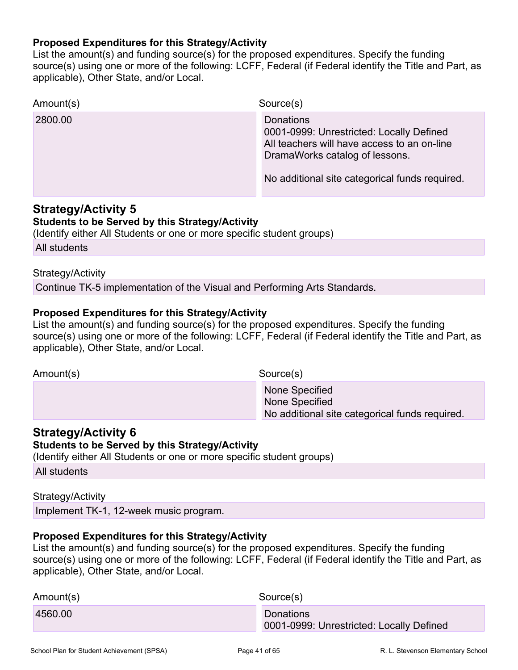#### **Proposed Expenditures for this Strategy/Activity**

List the amount(s) and funding source(s) for the proposed expenditures. Specify the funding source(s) using one or more of the following: LCFF, Federal (if Federal identify the Title and Part, as applicable), Other State, and/or Local.

| Amount(s) | Source(s)                                                                                                                              |
|-----------|----------------------------------------------------------------------------------------------------------------------------------------|
| 2800.00   | Donations<br>0001-0999: Unrestricted: Locally Defined<br>All teachers will have access to an on-line<br>DramaWorks catalog of lessons. |
|           | No additional site categorical funds required.                                                                                         |

#### **Strategy/Activity 5**

#### **Students to be Served by this Strategy/Activity**

(Identify either All Students or one or more specific student groups)

All students

#### Strategy/Activity

Continue TK-5 implementation of the Visual and Performing Arts Standards.

#### **Proposed Expenditures for this Strategy/Activity**

List the amount(s) and funding source(s) for the proposed expenditures. Specify the funding source(s) using one or more of the following: LCFF, Federal (if Federal identify the Title and Part, as applicable), Other State, and/or Local.

Amount(s) Source(s) None Specified None Specified No additional site categorical funds required.

### **Strategy/Activity 6**

#### **Students to be Served by this Strategy/Activity**

(Identify either All Students or one or more specific student groups)

All students

#### Strategy/Activity

Implement TK-1, 12-week music program.

#### **Proposed Expenditures for this Strategy/Activity**

| Amount(s) | Source(s)                                                    |
|-----------|--------------------------------------------------------------|
| 4560.00   | <b>Donations</b><br>0001-0999: Unrestricted: Locally Defined |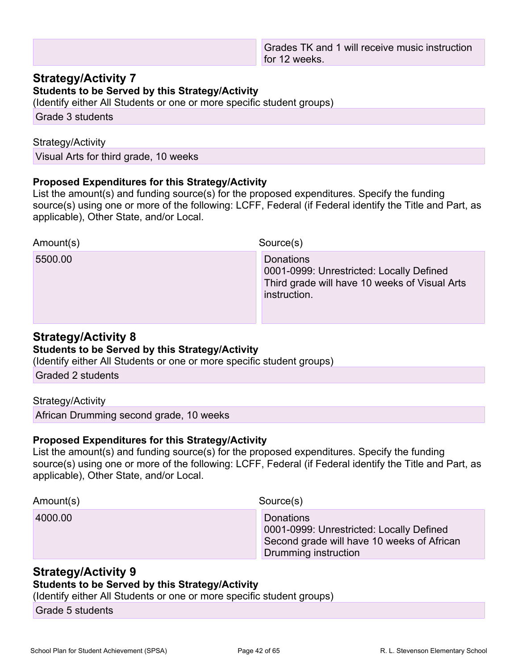#### **Strategy/Activity 7**

**Students to be Served by this Strategy/Activity**

(Identify either All Students or one or more specific student groups)

Grade 3 students

#### Strategy/Activity

Visual Arts for third grade, 10 weeks

#### **Proposed Expenditures for this Strategy/Activity**

List the amount(s) and funding source(s) for the proposed expenditures. Specify the funding source(s) using one or more of the following: LCFF, Federal (if Federal identify the Title and Part, as applicable), Other State, and/or Local.

| Amount(s) | Source(s)                                                                                                              |
|-----------|------------------------------------------------------------------------------------------------------------------------|
| 5500.00   | Donations<br>0001-0999: Unrestricted: Locally Defined<br>Third grade will have 10 weeks of Visual Arts<br>instruction. |

### **Strategy/Activity 8**

#### **Students to be Served by this Strategy/Activity**

(Identify either All Students or one or more specific student groups)

Graded 2 students

#### Strategy/Activity

African Drumming second grade, 10 weeks

#### **Proposed Expenditures for this Strategy/Activity**

List the amount(s) and funding source(s) for the proposed expenditures. Specify the funding source(s) using one or more of the following: LCFF, Federal (if Federal identify the Title and Part, as applicable), Other State, and/or Local.

Amount(s) Source(s)

4000.00 Donations

0001-0999: Unrestricted: Locally Defined Second grade will have 10 weeks of African Drumming instruction

### **Strategy/Activity 9**

#### **Students to be Served by this Strategy/Activity**

(Identify either All Students or one or more specific student groups)

Grade 5 students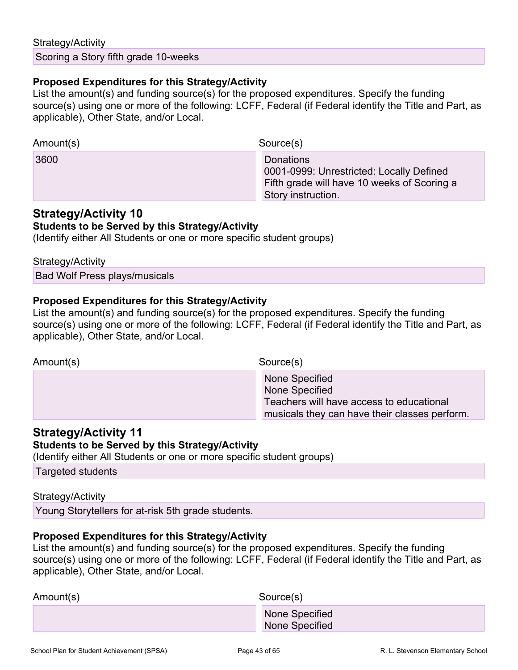#### Strategy/Activity

Scoring a Story fifth grade 10-weeks

#### **Proposed Expenditures for this Strategy/Activity**

List the amount(s) and funding source(s) for the proposed expenditures. Specify the funding source(s) using one or more of the following: LCFF, Federal (if Federal identify the Title and Part, as applicable), Other State, and/or Local.

| Amount(s) | Source(s)                                                                                                                         |
|-----------|-----------------------------------------------------------------------------------------------------------------------------------|
| 3600      | <b>Donations</b><br>0001-0999: Unrestricted: Locally Defined<br>Fifth grade will have 10 weeks of Scoring a<br>Story instruction. |

## **Strategy/Activity 10**

#### **Students to be Served by this Strategy/Activity**

(Identify either All Students or one or more specific student groups)

Strategy/Activity

Bad Wolf Press plays/musicals

#### **Proposed Expenditures for this Strategy/Activity**

List the amount(s) and funding source(s) for the proposed expenditures. Specify the funding source(s) using one or more of the following: LCFF, Federal (if Federal identify the Title and Part, as applicable), Other State, and/or Local.

Amount(s) Source(s)

 None Specified None Specified Teachers will have access to educational musicals they can have their classes perform.

### **Strategy/Activity 11**

#### **Students to be Served by this Strategy/Activity**

(Identify either All Students or one or more specific student groups)

Targeted students

#### Strategy/Activity

Young Storytellers for at-risk 5th grade students.

#### **Proposed Expenditures for this Strategy/Activity**

| Amount(s) | Source(s)                        |
|-----------|----------------------------------|
|           | None Specified<br>None Specified |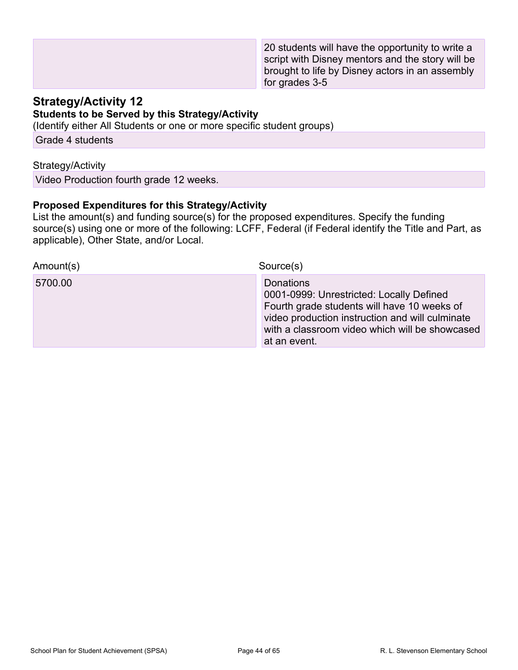20 students will have the opportunity to write a script with Disney mentors and the story will be brought to life by Disney actors in an assembly for grades 3-5

#### **Strategy/Activity 12 Students to be Served by this Strategy/Activity**

(Identify either All Students or one or more specific student groups)

Grade 4 students

#### Strategy/Activity

Video Production fourth grade 12 weeks.

#### **Proposed Expenditures for this Strategy/Activity**

| Amount(s) | Source(s)                                                                                                                                                                                                                        |
|-----------|----------------------------------------------------------------------------------------------------------------------------------------------------------------------------------------------------------------------------------|
| 5700.00   | <b>Donations</b><br>0001-0999: Unrestricted: Locally Defined<br>Fourth grade students will have 10 weeks of<br>video production instruction and will culminate<br>with a classroom video which will be showcased<br>at an event. |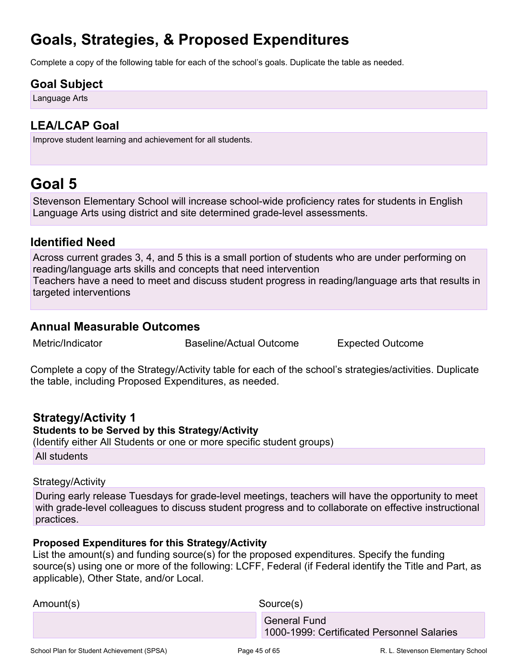## **Goals, Strategies, & Proposed Expenditures**

Complete a copy of the following table for each of the school's goals. Duplicate the table as needed.

## **Goal Subject**

Language Arts

## **LEA/LCAP Goal**

Improve student learning and achievement for all students.

## <span id="page-44-0"></span>**Goal 5**

Stevenson Elementary School will increase school-wide proficiency rates for students in English Language Arts using district and site determined grade-level assessments.

### **Identified Need**

Across current grades 3, 4, and 5 this is a small portion of students who are under performing on reading/language arts skills and concepts that need intervention Teachers have a need to meet and discuss student progress in reading/language arts that results in targeted interventions

### **Annual Measurable Outcomes**

Metric/Indicator Baseline/Actual Outcome Expected Outcome

Complete a copy of the Strategy/Activity table for each of the school's strategies/activities. Duplicate the table, including Proposed Expenditures, as needed.

#### **Strategy/Activity 1 Students to be Served by this Strategy/Activity**

(Identify either All Students or one or more specific student groups)

All students

#### Strategy/Activity

During early release Tuesdays for grade-level meetings, teachers will have the opportunity to meet with grade-level colleagues to discuss student progress and to collaborate on effective instructional practices.

### **Proposed Expenditures for this Strategy/Activity**

| Amount(s) | Source(s)                                                         |
|-----------|-------------------------------------------------------------------|
|           | <b>General Fund</b><br>1000-1999: Certificated Personnel Salaries |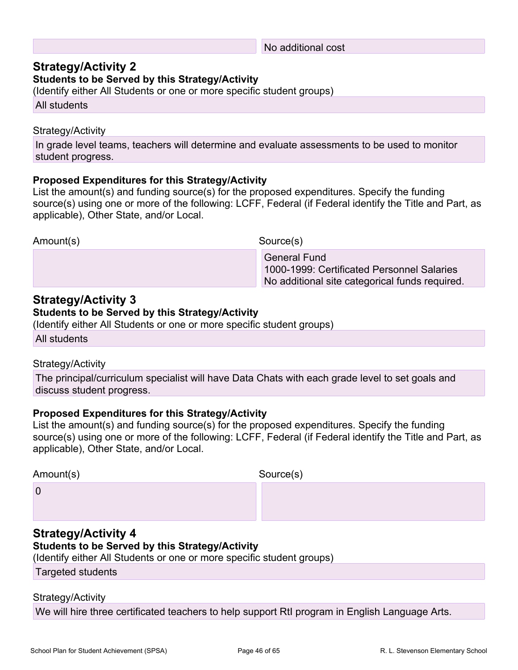#### No additional cost

### **Strategy/Activity 2**

#### **Students to be Served by this Strategy/Activity**

(Identify either All Students or one or more specific student groups)

All students

#### Strategy/Activity

In grade level teams, teachers will determine and evaluate assessments to be used to monitor student progress.

#### **Proposed Expenditures for this Strategy/Activity**

List the amount(s) and funding source(s) for the proposed expenditures. Specify the funding source(s) using one or more of the following: LCFF, Federal (if Federal identify the Title and Part, as applicable), Other State, and/or Local.

Amount(s) Source(s)

 General Fund 1000-1999: Certificated Personnel Salaries No additional site categorical funds required.

### **Strategy/Activity 3**

#### **Students to be Served by this Strategy/Activity**

(Identify either All Students or one or more specific student groups)

All students

#### Strategy/Activity

The principal/curriculum specialist will have Data Chats with each grade level to set goals and discuss student progress.

#### **Proposed Expenditures for this Strategy/Activity**

List the amount(s) and funding source(s) for the proposed expenditures. Specify the funding source(s) using one or more of the following: LCFF, Federal (if Federal identify the Title and Part, as applicable), Other State, and/or Local.

| Amount(s)      | Source(s) |
|----------------|-----------|
| $\overline{0}$ |           |
|                |           |

### **Strategy/Activity 4**

#### **Students to be Served by this Strategy/Activity**

(Identify either All Students or one or more specific student groups)

Targeted students

#### Strategy/Activity

We will hire three certificated teachers to help support RtI program in English Language Arts.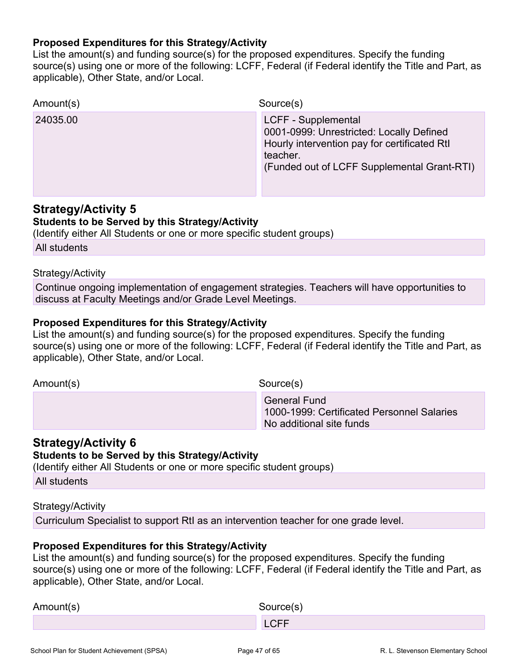#### **Proposed Expenditures for this Strategy/Activity**

List the amount(s) and funding source(s) for the proposed expenditures. Specify the funding source(s) using one or more of the following: LCFF, Federal (if Federal identify the Title and Part, as applicable), Other State, and/or Local.

| Amount(s) | Source(s)                                                                                                                                                                         |
|-----------|-----------------------------------------------------------------------------------------------------------------------------------------------------------------------------------|
| 24035.00  | <b>LCFF - Supplemental</b><br>0001-0999: Unrestricted: Locally Defined<br>Hourly intervention pay for certificated RtI<br>teacher.<br>(Funded out of LCFF Supplemental Grant-RTI) |

### **Strategy/Activity 5**

#### **Students to be Served by this Strategy/Activity**

(Identify either All Students or one or more specific student groups)

All students

#### Strategy/Activity

Continue ongoing implementation of engagement strategies. Teachers will have opportunities to discuss at Faculty Meetings and/or Grade Level Meetings.

#### **Proposed Expenditures for this Strategy/Activity**

List the amount(s) and funding source(s) for the proposed expenditures. Specify the funding source(s) using one or more of the following: LCFF, Federal (if Federal identify the Title and Part, as applicable), Other State, and/or Local.

Amount(s) Source(s)

 General Fund 1000-1999: Certificated Personnel Salaries No additional site funds

#### **Strategy/Activity 6**

#### **Students to be Served by this Strategy/Activity**

(Identify either All Students or one or more specific student groups)

All students

#### Strategy/Activity

Curriculum Specialist to support RtI as an intervention teacher for one grade level.

#### **Proposed Expenditures for this Strategy/Activity**

| Amount(s) | Source(s) |
|-----------|-----------|
|           | CFE       |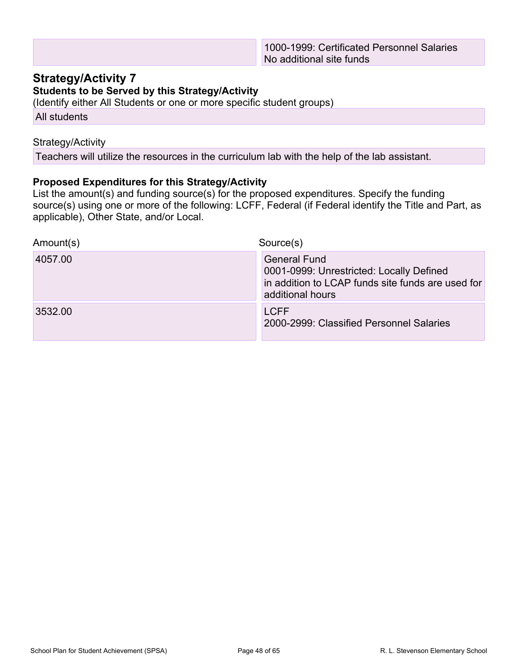### **Strategy/Activity 7**

#### **Students to be Served by this Strategy/Activity**

(Identify either All Students or one or more specific student groups)

All students

#### Strategy/Activity

Teachers will utilize the resources in the curriculum lab with the help of the lab assistant.

#### **Proposed Expenditures for this Strategy/Activity**

| Amount(s) | Source(s)                                                                                                                                |
|-----------|------------------------------------------------------------------------------------------------------------------------------------------|
| 4057.00   | <b>General Fund</b><br>0001-0999: Unrestricted: Locally Defined<br>in addition to LCAP funds site funds are used for<br>additional hours |
| 3532.00   | <b>LCFF</b><br>2000-2999: Classified Personnel Salaries                                                                                  |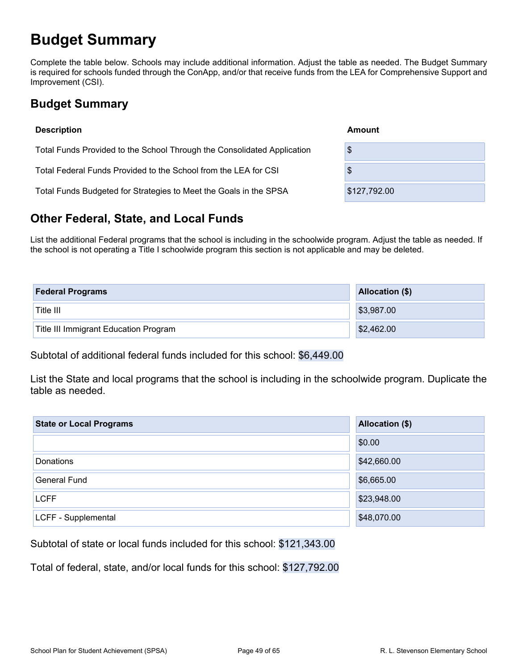## <span id="page-48-0"></span>**Budget Summary**

Complete the table below. Schools may include additional information. Adjust the table as needed. The Budget Summary is required for schools funded through the ConApp, and/or that receive funds from the LEA for Comprehensive Support and Improvement (CSI).

## <span id="page-48-1"></span>**Budget Summary**

| <b>Description</b>                                                      | Amount       |
|-------------------------------------------------------------------------|--------------|
| Total Funds Provided to the School Through the Consolidated Application | \$           |
| Total Federal Funds Provided to the School from the LEA for CSI         | \$           |
| Total Funds Budgeted for Strategies to Meet the Goals in the SPSA       | \$127,792.00 |

## <span id="page-48-2"></span>**Other Federal, State, and Local Funds**

List the additional Federal programs that the school is including in the schoolwide program. Adjust the table as needed. If the school is not operating a Title I schoolwide program this section is not applicable and may be deleted.

| <b>Federal Programs</b>               | <b>Allocation (\$)</b> |
|---------------------------------------|------------------------|
| Title III                             | \$3,987.00             |
| Title III Immigrant Education Program | \$2,462.00             |

Subtotal of additional federal funds included for this school: \$6,449.00

List the State and local programs that the school is including in the schoolwide program. Duplicate the table as needed.

| <b>State or Local Programs</b> | <b>Allocation (\$)</b> |
|--------------------------------|------------------------|
|                                | \$0.00                 |
| <b>Donations</b>               | \$42,660.00            |
| <b>General Fund</b>            | \$6,665.00             |
| <b>LCFF</b>                    | \$23,948.00            |
| LCFF - Supplemental            | \$48,070.00            |

Subtotal of state or local funds included for this school: \$121,343.00

Total of federal, state, and/or local funds for this school: \$127,792.00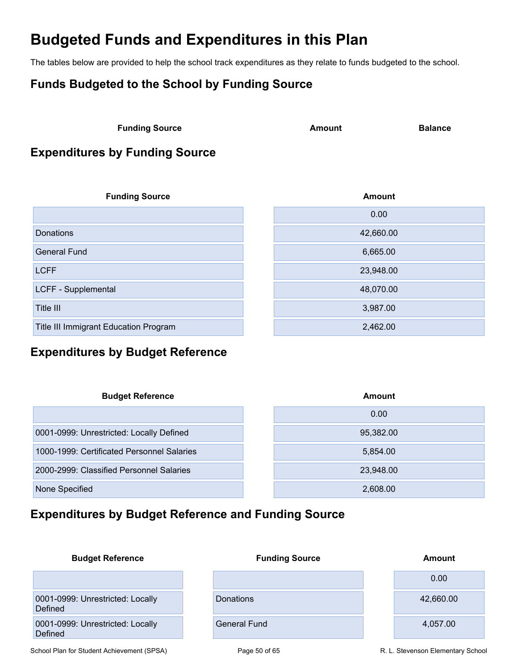## <span id="page-49-0"></span>**Budgeted Funds and Expenditures in this Plan**

The tables below are provided to help the school track expenditures as they relate to funds budgeted to the school.

## <span id="page-49-1"></span>**Funds Budgeted to the School by Funding Source**

**Funding Source Amount Balance** 

## <span id="page-49-2"></span>**Expenditures by Funding Source**

| <b>Funding Source</b>                 | <b>Amount</b> |
|---------------------------------------|---------------|
|                                       | 0.00          |
| Donations                             | 42,660.00     |
| <b>General Fund</b>                   | 6,665.00      |
| <b>LCFF</b>                           | 23,948.00     |
| LCFF - Supplemental                   | 48,070.00     |
| Title III                             | 3,987.00      |
| Title III Immigrant Education Program | 2,462.00      |

## <span id="page-49-3"></span>**Expenditures by Budget Reference**

| <b>Budget Reference</b>                    | Amount    |
|--------------------------------------------|-----------|
|                                            | 0.00      |
| 0001-0999: Unrestricted: Locally Defined   | 95,382.00 |
| 1000-1999: Certificated Personnel Salaries | 5,854.00  |
| 2000-2999: Classified Personnel Salaries   | 23,948.00 |
| None Specified                             | 2,608.00  |

## <span id="page-49-4"></span>**Expenditures by Budget Reference and Funding Source**

| <b>Budget Reference</b>                     | <b>Funding Source</b> | <b>Amount</b> |
|---------------------------------------------|-----------------------|---------------|
|                                             |                       | 0.00          |
| 0001-0999: Unrestricted: Locally<br>Defined | Donations             | 42,660.00     |
| 0001-0999: Unrestricted: Locally<br>Defined | <b>General Fund</b>   | 4,057.00      |

School Plan for Student Achievement (SPSA) Page 50 of 65 R. L. Stevenson Elementary School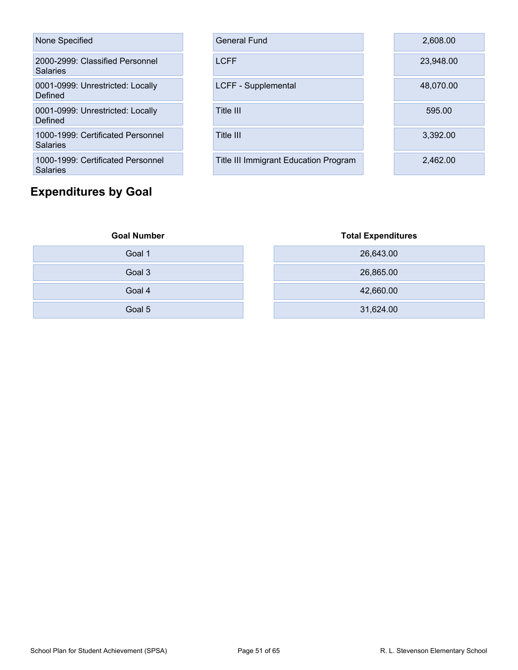| None Specified                                |
|-----------------------------------------------|
| 2000-2999: Classified Personnel<br>Salaries   |
| 0001-0999: Unrestricted: Locally<br>Defined   |
| 0001-0999: Unrestricted: Locally<br>Defined   |
| 1000-1999: Certificated Personnel<br>Salaries |
| 1000-1999: Certificated Personnel<br>Salaries |

## <span id="page-50-0"></span>**Expenditures by Goal**

| None Specified                                  | <b>General Fund</b>                          | 2,608.00  |
|-------------------------------------------------|----------------------------------------------|-----------|
| 2000-2999: Classified Personnel<br>Salaries     | <b>LCFF</b>                                  | 23,948.00 |
| 0001-0999: Unrestricted: Locally<br>Defined     | LCFF - Supplemental                          | 48,070.00 |
| 0001-0999: Unrestricted: Locally<br>Defined     | Title III                                    | 595.00    |
| 1000-1999: Certificated Personnel<br>Salaries   | Title III                                    | 3,392.00  |
| 1000-1999: Certificated Personnel<br><b>. .</b> | <b>Title III Immigrant Education Program</b> | 2,462.00  |

| <b>Goal Number</b> | <b>Total Expenditures</b> |
|--------------------|---------------------------|
| Goal 1             | 26,643.00                 |
| Goal 3             | 26,865.00                 |
| Goal 4             | 42,660.00                 |
| Goal 5             | 31,624.00                 |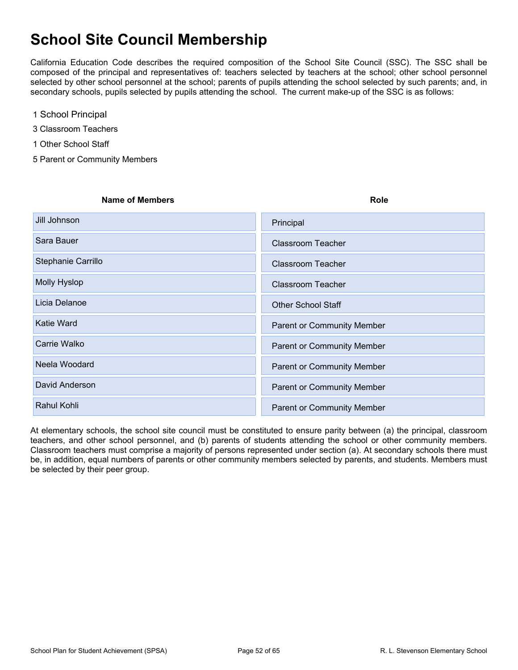## <span id="page-51-0"></span>**School Site Council Membership**

California Education Code describes the required composition of the School Site Council (SSC). The SSC shall be composed of the principal and representatives of: teachers selected by teachers at the school; other school personnel selected by other school personnel at the school; parents of pupils attending the school selected by such parents; and, in secondary schools, pupils selected by pupils attending the school. The current make-up of the SSC is as follows:

- 1 School Principal
- 3 Classroom Teachers
- 1 Other School Staff
- 5 Parent or Community Members

# **Name of Members Role** Jill Johnson **XPrincipal** Sara Bauer XClassroom Teacher Stephanie Carrillo XClassroom Teacher Molly Hyslop XClassroom Teacher Licia Delanoe XOTher School Staff Katie Ward XParent or Community Member Carrie Walko XParent or Community Member Neela Woodard XParent or Community Member David Anderson XParent or Community Member Rahul Kohli XParent or Community Member

At elementary schools, the school site council must be constituted to ensure parity between (a) the principal, classroom teachers, and other school personnel, and (b) parents of students attending the school or other community members. Classroom teachers must comprise a majority of persons represented under section (a). At secondary schools there must be, in addition, equal numbers of parents or other community members selected by parents, and students. Members must be selected by their peer group.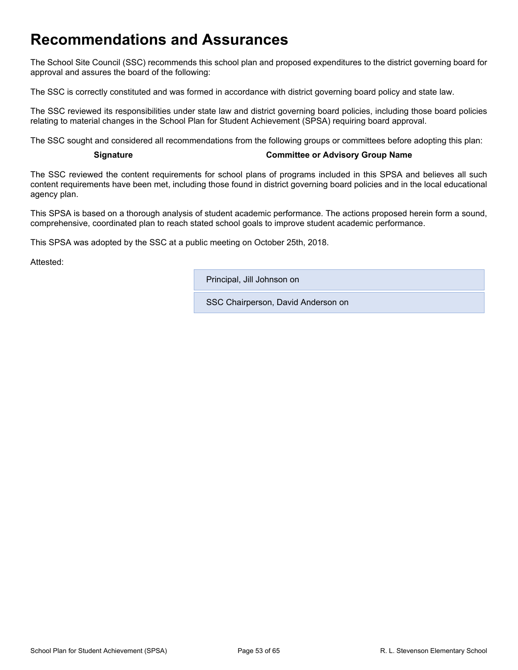## <span id="page-52-0"></span>**Recommendations and Assurances**

The School Site Council (SSC) recommends this school plan and proposed expenditures to the district governing board for approval and assures the board of the following:

The SSC is correctly constituted and was formed in accordance with district governing board policy and state law.

The SSC reviewed its responsibilities under state law and district governing board policies, including those board policies relating to material changes in the School Plan for Student Achievement (SPSA) requiring board approval.

The SSC sought and considered all recommendations from the following groups or committees before adopting this plan:

#### **Signature Committee or Advisory Group Name**

The SSC reviewed the content requirements for school plans of programs included in this SPSA and believes all such content requirements have been met, including those found in district governing board policies and in the local educational agency plan.

This SPSA is based on a thorough analysis of student academic performance. The actions proposed herein form a sound, comprehensive, coordinated plan to reach stated school goals to improve student academic performance.

This SPSA was adopted by the SSC at a public meeting on October 25th, 2018.

Attested:

Principal, Jill Johnson on

SSC Chairperson, David Anderson on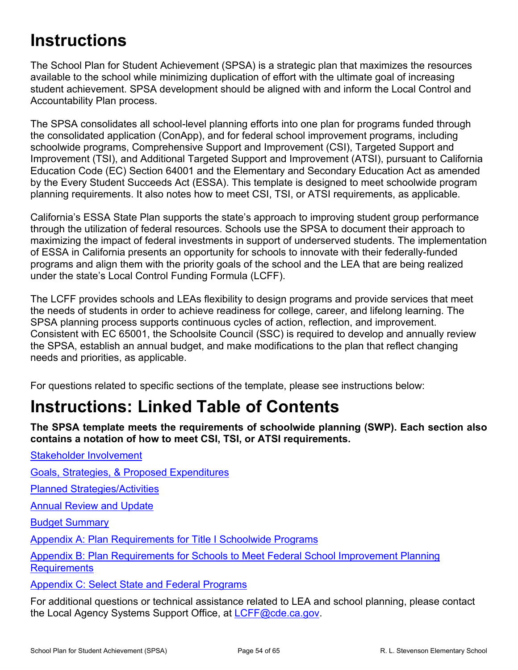# <span id="page-53-0"></span>**Instructions**

The School Plan for Student Achievement (SPSA) is a strategic plan that maximizes the resources available to the school while minimizing duplication of effort with the ultimate goal of increasing student achievement. SPSA development should be aligned with and inform the Local Control and Accountability Plan process.

The SPSA consolidates all school-level planning efforts into one plan for programs funded through the consolidated application (ConApp), and for federal school improvement programs, including schoolwide programs, Comprehensive Support and Improvement (CSI), Targeted Support and Improvement (TSI), and Additional Targeted Support and Improvement (ATSI), pursuant to California Education Code (EC) Section 64001 and the Elementary and Secondary Education Act as amended by the Every Student Succeeds Act (ESSA). This template is designed to meet schoolwide program planning requirements. It also notes how to meet CSI, TSI, or ATSI requirements, as applicable.

California's ESSA State Plan supports the state's approach to improving student group performance through the utilization of federal resources. Schools use the SPSA to document their approach to maximizing the impact of federal investments in support of underserved students. The implementation of ESSA in California presents an opportunity for schools to innovate with their federally-funded programs and align them with the priority goals of the school and the LEA that are being realized under the state's Local Control Funding Formula (LCFF).

The LCFF provides schools and LEAs flexibility to design programs and provide services that meet the needs of students in order to achieve readiness for college, career, and lifelong learning. The SPSA planning process supports continuous cycles of action, reflection, and improvement. Consistent with EC 65001, the Schoolsite Council (SSC) is required to develop and annually review the SPSA, establish an annual budget, and make modifications to the plan that reflect changing needs and priorities, as applicable.

For questions related to specific sections of the template, please see instructions below:

# <span id="page-53-1"></span>**Instructions: Linked Table of Contents**

**The SPSA template meets the requirements of schoolwide planning (SWP). Each section also contains a notation of how to meet CSI, TSI, or ATSI requirements.**

Stakeholder [Involvement](#page-54-1)

Goals, Strategies, & Proposed [Expenditures](#page-55-0)

Planned [Strategies/Activities](#page-55-1)

Annual [Review](#page-56-0) and Update

Budget [Summary](#page-57-0)

Appendix A: Plan [Requirements](#page-59-0) for Title I Schoolwide Programs

Appendix B: Plan [Requirements](#page-62-0) for Schools to Meet Federal School Improvement Planning **[Requirements](#page-62-0)** 

Appendix C: Select State and Federal [Programs](#page-64-0)

For additional questions or technical assistance related to LEA and school planning, please contact the Local Agency Systems Support Office, at [LCFF@cde.ca.gov.](mailto:LCFF@cde.ca.gov)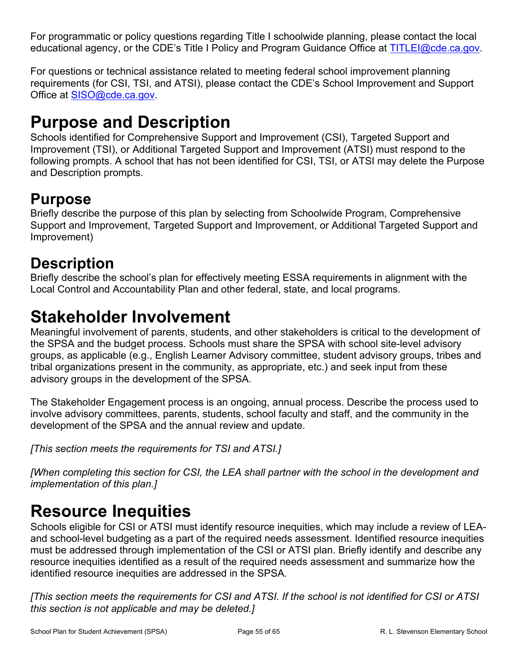For programmatic or policy questions regarding Title I schoolwide planning, please contact the local educational agency, or the CDE's Title I Policy and Program Guidance Office at [TITLEI@cde.ca.gov](mailto:TITLEI@cde.ca.gov).

For questions or technical assistance related to meeting federal school improvement planning requirements (for CSI, TSI, and ATSI), please contact the CDE's School Improvement and Support Office at [SISO@cde.ca.gov.](mailto:SISO@cde.ca.gov)

# <span id="page-54-0"></span>**Purpose and Description**

Schools identified for Comprehensive Support and Improvement (CSI), Targeted Support and Improvement (TSI), or Additional Targeted Support and Improvement (ATSI) must respond to the following prompts. A school that has not been identified for CSI, TSI, or ATSI may delete the Purpose and Description prompts.

## **Purpose**

Briefly describe the purpose of this plan by selecting from Schoolwide Program, Comprehensive Support and Improvement, Targeted Support and Improvement, or Additional Targeted Support and Improvement)

## **Description**

Briefly describe the school's plan for effectively meeting ESSA requirements in alignment with the Local Control and Accountability Plan and other federal, state, and local programs.

# <span id="page-54-1"></span>**Stakeholder Involvement**

Meaningful involvement of parents, students, and other stakeholders is critical to the development of the SPSA and the budget process. Schools must share the SPSA with school site-level advisory groups, as applicable (e.g., English Learner Advisory committee, student advisory groups, tribes and tribal organizations present in the community, as appropriate, etc.) and seek input from these advisory groups in the development of the SPSA.

The Stakeholder Engagement process is an ongoing, annual process. Describe the process used to involve advisory committees, parents, students, school faculty and staff, and the community in the development of the SPSA and the annual review and update.

*[This section meets the requirements for TSI and ATSI.]*

*[When completing this section for CSI, the LEA shall partner with the school in the development and implementation of this plan.]*

# <span id="page-54-2"></span>**Resource Inequities**

Schools eligible for CSI or ATSI must identify resource inequities, which may include a review of LEAand school-level budgeting as a part of the required needs assessment. Identified resource inequities must be addressed through implementation of the CSI or ATSI plan. Briefly identify and describe any resource inequities identified as a result of the required needs assessment and summarize how the identified resource inequities are addressed in the SPSA.

[This section meets the requirements for CSI and ATSI. If the school is not identified for CSI or ATSI *this section is not applicable and may be deleted.]*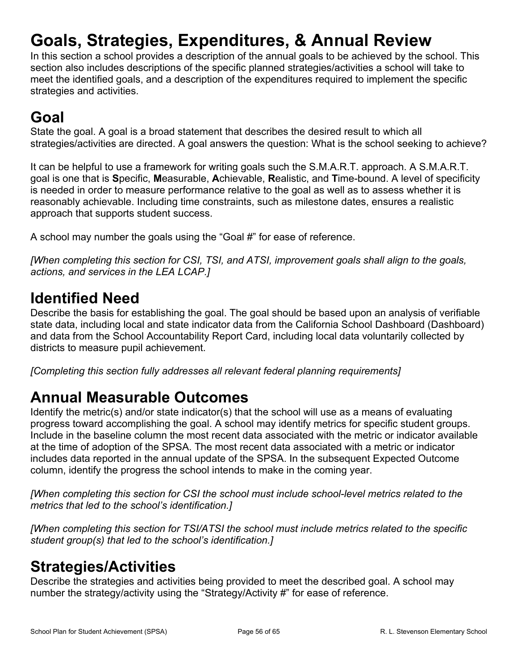# <span id="page-55-0"></span>**Goals, Strategies, Expenditures, & Annual Review**

In this section a school provides a description of the annual goals to be achieved by the school. This section also includes descriptions of the specific planned strategies/activities a school will take to meet the identified goals, and a description of the expenditures required to implement the specific strategies and activities.

# **Goal**

State the goal. A goal is a broad statement that describes the desired result to which all strategies/activities are directed. A goal answers the question: What is the school seeking to achieve?

It can be helpful to use a framework for writing goals such the S.M.A.R.T. approach. A S.M.A.R.T. goal is one that is **S**pecific, **M**easurable, **A**chievable, **R**ealistic, and **T**ime-bound. A level of specificity is needed in order to measure performance relative to the goal as well as to assess whether it is reasonably achievable. Including time constraints, such as milestone dates, ensures a realistic approach that supports student success.

A school may number the goals using the "Goal #" for ease of reference.

*[When completing this section for CSI, TSI, and ATSI, improvement goals shall align to the goals, actions, and services in the LEA LCAP.]*

## **Identified Need**

Describe the basis for establishing the goal. The goal should be based upon an analysis of verifiable state data, including local and state indicator data from the California School Dashboard (Dashboard) and data from the School Accountability Report Card, including local data voluntarily collected by districts to measure pupil achievement.

*[Completing this section fully addresses all relevant federal planning requirements]*

## **Annual Measurable Outcomes**

Identify the metric(s) and/or state indicator(s) that the school will use as a means of evaluating progress toward accomplishing the goal. A school may identify metrics for specific student groups. Include in the baseline column the most recent data associated with the metric or indicator available at the time of adoption of the SPSA. The most recent data associated with a metric or indicator includes data reported in the annual update of the SPSA. In the subsequent Expected Outcome column, identify the progress the school intends to make in the coming year.

*[When completing this section for CSI the school must include school-level metrics related to the metrics that led to the school's identification.]*

*[When completing this section for TSI/ATSI the school must include metrics related to the specific student group(s) that led to the school's identification.]*

## <span id="page-55-1"></span>**Strategies/Activities**

Describe the strategies and activities being provided to meet the described goal. A school may number the strategy/activity using the "Strategy/Activity #" for ease of reference.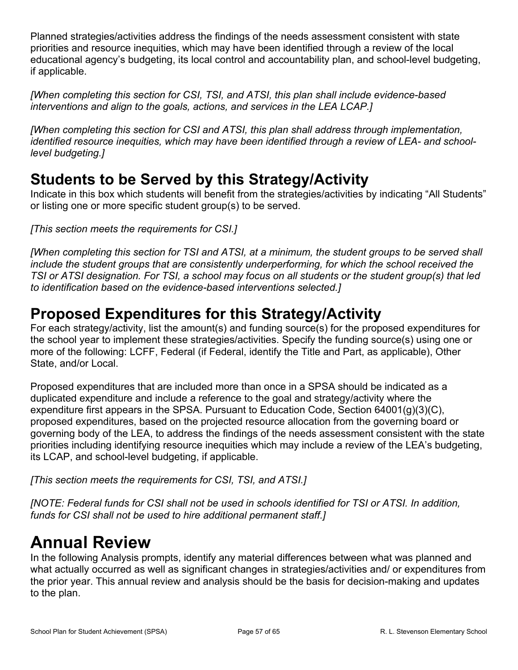Planned strategies/activities address the findings of the needs assessment consistent with state priorities and resource inequities, which may have been identified through a review of the local educational agency's budgeting, its local control and accountability plan, and school-level budgeting, if applicable.

*[When completing this section for CSI, TSI, and ATSI, this plan shall include evidence-based interventions and align to the goals, actions, and services in the LEA LCAP.]*

*[When completing this section for CSI and ATSI, this plan shall address through implementation, identified resource inequities, which may have been identified through a review of LEA- and schoollevel budgeting.]*

## **Students to be Served by this Strategy/Activity**

Indicate in this box which students will benefit from the strategies/activities by indicating "All Students" or listing one or more specific student group(s) to be served.

*[This section meets the requirements for CSI.]*

[When completing this section for TSI and ATSI, at a minimum, the student groups to be served shall *include the student groups that are consistently underperforming, for which the school received the* TSI or ATSI designation. For TSI, a school may focus on all students or the student group(s) that led *to identification based on the evidence-based interventions selected.]*

## **Proposed Expenditures for this Strategy/Activity**

For each strategy/activity, list the amount(s) and funding source(s) for the proposed expenditures for the school year to implement these strategies/activities. Specify the funding source(s) using one or more of the following: LCFF, Federal (if Federal, identify the Title and Part, as applicable), Other State, and/or Local.

Proposed expenditures that are included more than once in a SPSA should be indicated as a duplicated expenditure and include a reference to the goal and strategy/activity where the expenditure first appears in the SPSA. Pursuant to Education Code, Section 64001(g)(3)(C), proposed expenditures, based on the projected resource allocation from the governing board or governing body of the LEA, to address the findings of the needs assessment consistent with the state priorities including identifying resource inequities which may include a review of the LEA's budgeting, its LCAP, and school-level budgeting, if applicable.

*[This section meets the requirements for CSI, TSI, and ATSI.]*

*[NOTE: Federal funds for CSI shall not be used in schools identified for TSI or ATSI. In addition, funds for CSI shall not be used to hire additional permanent staff.]*

# <span id="page-56-0"></span>**Annual Review**

In the following Analysis prompts, identify any material differences between what was planned and what actually occurred as well as significant changes in strategies/activities and/ or expenditures from the prior year. This annual review and analysis should be the basis for decision-making and updates to the plan.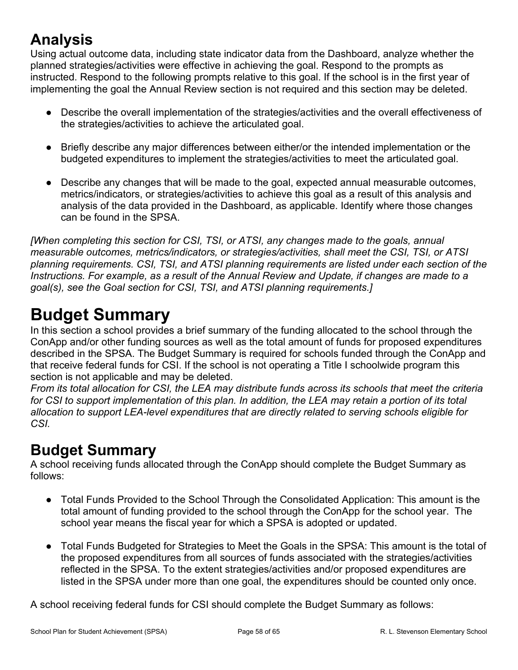## **Analysis**

Using actual outcome data, including state indicator data from the Dashboard, analyze whether the planned strategies/activities were effective in achieving the goal. Respond to the prompts as instructed. Respond to the following prompts relative to this goal. If the school is in the first year of implementing the goal the Annual Review section is not required and this section may be deleted.

- Describe the overall implementation of the strategies/activities and the overall effectiveness of the strategies/activities to achieve the articulated goal.
- Briefly describe any major differences between either/or the intended implementation or the budgeted expenditures to implement the strategies/activities to meet the articulated goal.
- Describe any changes that will be made to the goal, expected annual measurable outcomes, metrics/indicators, or strategies/activities to achieve this goal as a result of this analysis and analysis of the data provided in the Dashboard, as applicable. Identify where those changes can be found in the SPSA.

*[When completing this section for CSI, TSI, or ATSI, any changes made to the goals, annual measurable outcomes, metrics/indicators, or strategies/activities, shall meet the CSI, TSI, or ATSI planning requirements. CSI, TSI, and ATSI planning requirements are listed under each section of the Instructions. For example, as a result of the Annual Review and Update, if changes are made to a goal(s), see the Goal section for CSI, TSI, and ATSI planning requirements.]*

# <span id="page-57-0"></span>**Budget Summary**

In this section a school provides a brief summary of the funding allocated to the school through the ConApp and/or other funding sources as well as the total amount of funds for proposed expenditures described in the SPSA. The Budget Summary is required for schools funded through the ConApp and that receive federal funds for CSI. If the school is not operating a Title I schoolwide program this section is not applicable and may be deleted.

From its total allocation for CSI, the LEA may distribute funds across its schools that meet the criteria for CSI to support implementation of this plan. In addition, the LEA may retain a portion of its total *allocation to support LEA-level expenditures that are directly related to serving schools eligible for CSI.*

## **Budget Summary**

A school receiving funds allocated through the ConApp should complete the Budget Summary as follows:

- Total Funds Provided to the School Through the Consolidated Application: This amount is the total amount of funding provided to the school through the ConApp for the school year. The school year means the fiscal year for which a SPSA is adopted or updated.
- Total Funds Budgeted for Strategies to Meet the Goals in the SPSA: This amount is the total of the proposed expenditures from all sources of funds associated with the strategies/activities reflected in the SPSA. To the extent strategies/activities and/or proposed expenditures are listed in the SPSA under more than one goal, the expenditures should be counted only once.

A school receiving federal funds for CSI should complete the Budget Summary as follows: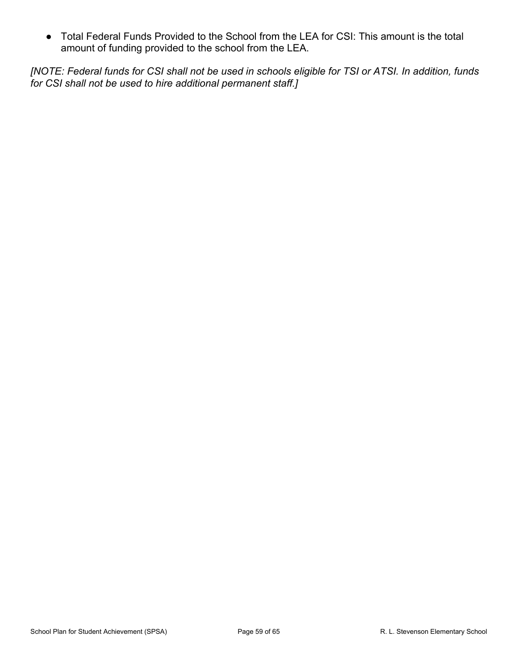● Total Federal Funds Provided to the School from the LEA for CSI: This amount is the total amount of funding provided to the school from the LEA.

[NOTE: Federal funds for CSI shall not be used in schools eligible for TSI or ATSI. In addition, funds *for CSI shall not be used to hire additional permanent staff.]*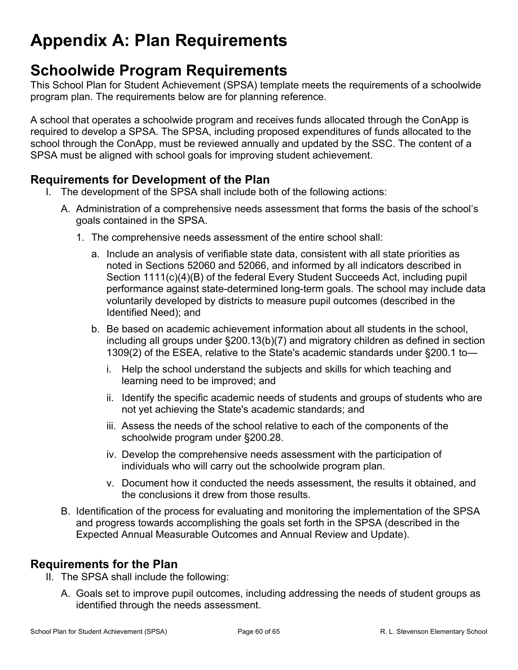# <span id="page-59-0"></span>**Appendix A: Plan Requirements**

## **Schoolwide Program Requirements**

This School Plan for Student Achievement (SPSA) template meets the requirements of a schoolwide program plan. The requirements below are for planning reference.

A school that operates a schoolwide program and receives funds allocated through the ConApp is required to develop a SPSA. The SPSA, including proposed expenditures of funds allocated to the school through the ConApp, must be reviewed annually and updated by the SSC. The content of a SPSA must be aligned with school goals for improving student achievement.

## **Requirements for Development of the Plan**

- I. The development of the SPSA shall include both of the following actions:
	- A. Administration of a comprehensive needs assessment that forms the basis of the school's goals contained in the SPSA.
		- 1. The comprehensive needs assessment of the entire school shall:
			- a. Include an analysis of verifiable state data, consistent with all state priorities as noted in Sections 52060 and 52066, and informed by all indicators described in Section 1111(c)(4)(B) of the federal Every Student Succeeds Act, including pupil performance against state-determined long-term goals. The school may include data voluntarily developed by districts to measure pupil outcomes (described in the Identified Need); and
			- b. Be based on academic achievement information about all students in the school, including all groups under §200.13(b)(7) and migratory children as defined in section 1309(2) of the ESEA, relative to the State's academic standards under §200.1 to
				- i. Help the school understand the subjects and skills for which teaching and learning need to be improved; and
				- ii. Identify the specific academic needs of students and groups of students who are not yet achieving the State's academic standards; and
				- iii. Assess the needs of the school relative to each of the components of the schoolwide program under §200.28.
				- iv. Develop the comprehensive needs assessment with the participation of individuals who will carry out the schoolwide program plan.
				- v. Document how it conducted the needs assessment, the results it obtained, and the conclusions it drew from those results.
	- B. Identification of the process for evaluating and monitoring the implementation of the SPSA and progress towards accomplishing the goals set forth in the SPSA (described in the Expected Annual Measurable Outcomes and Annual Review and Update).

## **Requirements for the Plan**

- II. The SPSA shall include the following:
	- A. Goals set to improve pupil outcomes, including addressing the needs of student groups as identified through the needs assessment.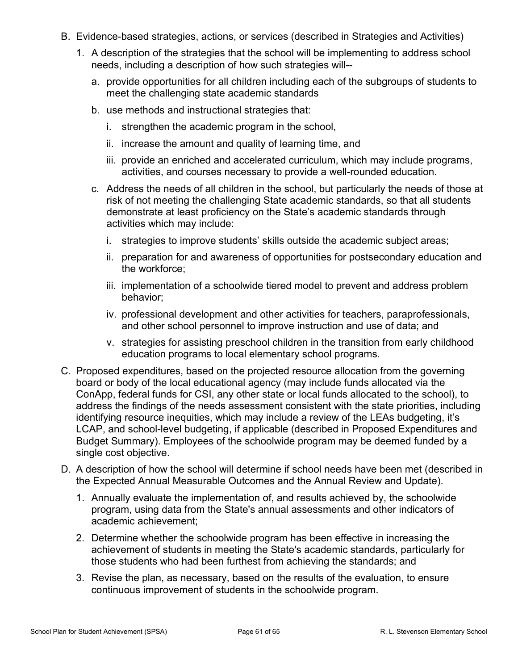- B. Evidence-based strategies, actions, or services (described in Strategies and Activities)
	- 1. A description of the strategies that the school will be implementing to address school needs, including a description of how such strategies will-
		- a. provide opportunities for all children including each of the subgroups of students to meet the challenging state academic standards
		- b. use methods and instructional strategies that:
			- i. strengthen the academic program in the school,
			- ii. increase the amount and quality of learning time, and
			- iii. provide an enriched and accelerated curriculum, which may include programs, activities, and courses necessary to provide a well-rounded education.
		- c. Address the needs of all children in the school, but particularly the needs of those at risk of not meeting the challenging State academic standards, so that all students demonstrate at least proficiency on the State's academic standards through activities which may include:
			- i. strategies to improve students' skills outside the academic subject areas;
			- ii. preparation for and awareness of opportunities for postsecondary education and the workforce;
			- iii. implementation of a schoolwide tiered model to prevent and address problem behavior;
			- iv. professional development and other activities for teachers, paraprofessionals, and other school personnel to improve instruction and use of data; and
			- v. strategies for assisting preschool children in the transition from early childhood education programs to local elementary school programs.
- C. Proposed expenditures, based on the projected resource allocation from the governing board or body of the local educational agency (may include funds allocated via the ConApp, federal funds for CSI, any other state or local funds allocated to the school), to address the findings of the needs assessment consistent with the state priorities, including identifying resource inequities, which may include a review of the LEAs budgeting, it's LCAP, and school-level budgeting, if applicable (described in Proposed Expenditures and Budget Summary). Employees of the schoolwide program may be deemed funded by a single cost objective.
- D. A description of how the school will determine if school needs have been met (described in the Expected Annual Measurable Outcomes and the Annual Review and Update).
	- 1. Annually evaluate the implementation of, and results achieved by, the schoolwide program, using data from the State's annual assessments and other indicators of academic achievement;
	- 2. Determine whether the schoolwide program has been effective in increasing the achievement of students in meeting the State's academic standards, particularly for those students who had been furthest from achieving the standards; and
	- 3. Revise the plan, as necessary, based on the results of the evaluation, to ensure continuous improvement of students in the schoolwide program.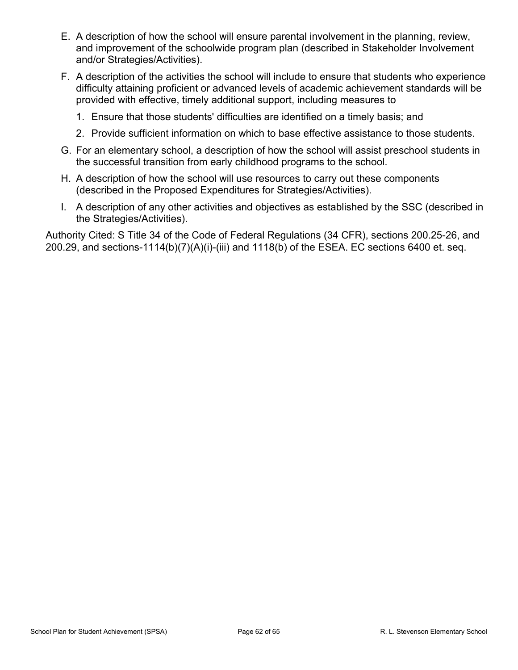- E. A description of how the school will ensure parental involvement in the planning, review, and improvement of the schoolwide program plan (described in Stakeholder Involvement and/or Strategies/Activities).
- F. A description of the activities the school will include to ensure that students who experience difficulty attaining proficient or advanced levels of academic achievement standards will be provided with effective, timely additional support, including measures to
	- 1. Ensure that those students' difficulties are identified on a timely basis; and
	- 2. Provide sufficient information on which to base effective assistance to those students.
- G. For an elementary school, a description of how the school will assist preschool students in the successful transition from early childhood programs to the school.
- H. A description of how the school will use resources to carry out these components (described in the Proposed Expenditures for Strategies/Activities).
- I. A description of any other activities and objectives as established by the SSC (described in the Strategies/Activities).

Authority Cited: S Title 34 of the Code of Federal Regulations (34 CFR), sections 200.25-26, and 200.29, and sections-1114(b)(7)(A)(i)-(iii) and 1118(b) of the ESEA. EC sections 6400 et. seq.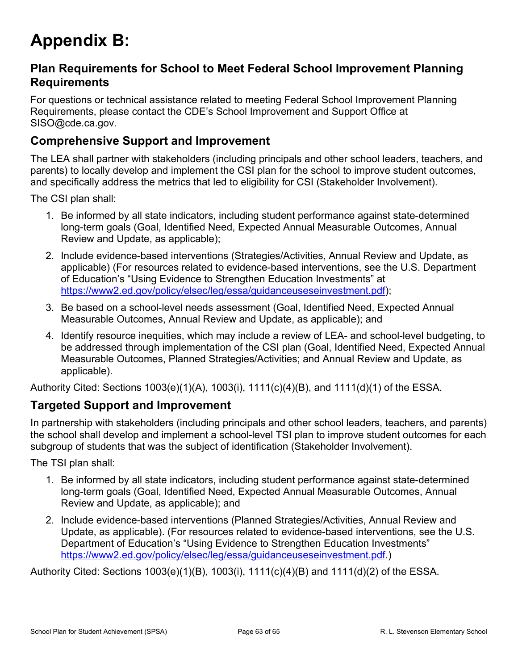# <span id="page-62-0"></span>**Appendix B:**

## **Plan Requirements for School to Meet Federal School Improvement Planning Requirements**

For questions or technical assistance related to meeting Federal School Improvement Planning Requirements, please contact the CDE's School Improvement and Support Office at SISO@cde.ca.gov.

## **Comprehensive Support and Improvement**

The LEA shall partner with stakeholders (including principals and other school leaders, teachers, and parents) to locally develop and implement the CSI plan for the school to improve student outcomes, and specifically address the metrics that led to eligibility for CSI (Stakeholder Involvement).

The CSI plan shall:

- 1. Be informed by all state indicators, including student performance against state-determined long-term goals (Goal, Identified Need, Expected Annual Measurable Outcomes, Annual Review and Update, as applicable);
- 2. Include evidence-based interventions (Strategies/Activities, Annual Review and Update, as applicable) (For resources related to evidence-based interventions, see the U.S. Department of Education's "Using Evidence to Strengthen Education Investments" at [https://www2.ed.gov/policy/elsec/leg/essa/guidanceuseseinvestment.pdf\)](https://www2.ed.gov/policy/elsec/leg/essa/guidanceuseseinvestment.pdf);
- 3. Be based on a school-level needs assessment (Goal, Identified Need, Expected Annual Measurable Outcomes, Annual Review and Update, as applicable); and
- 4. Identify resource inequities, which may include a review of LEA- and school-level budgeting, to be addressed through implementation of the CSI plan (Goal, Identified Need, Expected Annual Measurable Outcomes, Planned Strategies/Activities; and Annual Review and Update, as applicable).

Authority Cited: Sections 1003(e)(1)(A), 1003(i), 1111(c)(4)(B), and 1111(d)(1) of the ESSA.

### **Targeted Support and Improvement**

In partnership with stakeholders (including principals and other school leaders, teachers, and parents) the school shall develop and implement a school-level TSI plan to improve student outcomes for each subgroup of students that was the subject of identification (Stakeholder Involvement).

The TSI plan shall:

- 1. Be informed by all state indicators, including student performance against state-determined long-term goals (Goal, Identified Need, Expected Annual Measurable Outcomes, Annual Review and Update, as applicable); and
- 2. Include evidence-based interventions (Planned Strategies/Activities, Annual Review and Update, as applicable). (For resources related to evidence-based interventions, see the U.S. Department of Education's "Using Evidence to Strengthen Education Investments" [https://www2.ed.gov/policy/elsec/leg/essa/guidanceuseseinvestment.pdf.](https://www2.ed.gov/policy/elsec/leg/essa/guidanceuseseinvestment.pdf))

Authority Cited: Sections 1003(e)(1)(B), 1003(i), 1111(c)(4)(B) and 1111(d)(2) of the ESSA.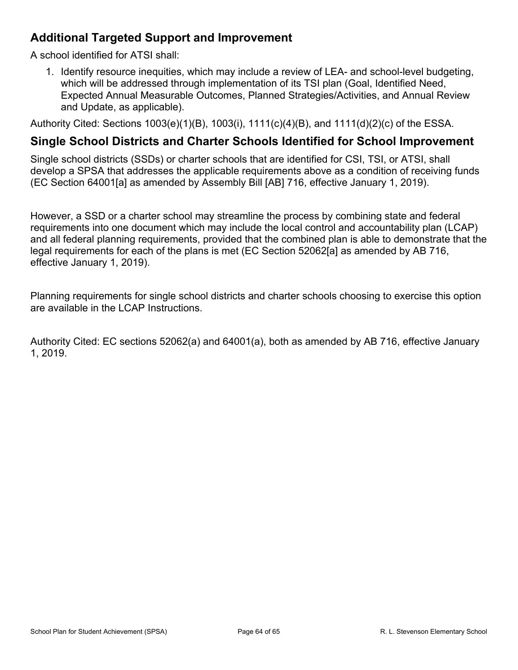## **Additional Targeted Support and Improvement**

A school identified for ATSI shall:

1. Identify resource inequities, which may include a review of LEA- and school-level budgeting, which will be addressed through implementation of its TSI plan (Goal, Identified Need, Expected Annual Measurable Outcomes, Planned Strategies/Activities, and Annual Review and Update, as applicable).

Authority Cited: Sections 1003(e)(1)(B), 1003(i), 1111(c)(4)(B), and 1111(d)(2)(c) of the ESSA.

### **Single School Districts and Charter Schools Identified for School Improvement**

Single school districts (SSDs) or charter schools that are identified for CSI, TSI, or ATSI, shall develop a SPSA that addresses the applicable requirements above as a condition of receiving funds (EC Section 64001[a] as amended by Assembly Bill [AB] 716, effective January 1, 2019).

However, a SSD or a charter school may streamline the process by combining state and federal requirements into one document which may include the local control and accountability plan (LCAP) and all federal planning requirements, provided that the combined plan is able to demonstrate that the legal requirements for each of the plans is met (EC Section 52062[a] as amended by AB 716, effective January 1, 2019).

Planning requirements for single school districts and charter schools choosing to exercise this option are available in the LCAP Instructions.

Authority Cited: EC sections 52062(a) and 64001(a), both as amended by AB 716, effective January 1, 2019.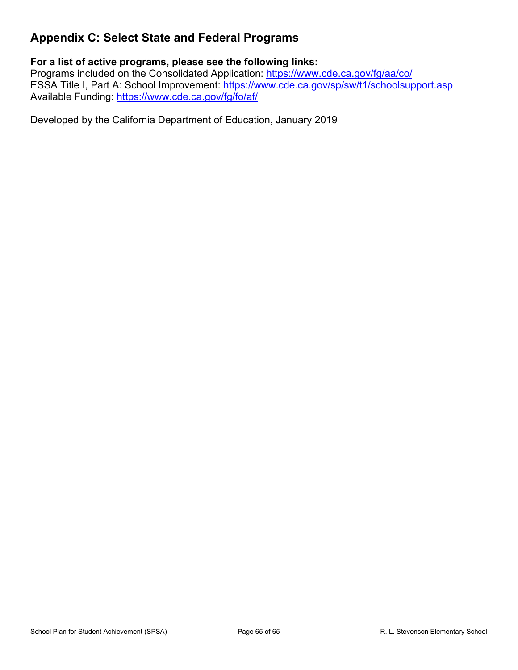## <span id="page-64-0"></span>**Appendix C: Select State and Federal Programs**

### **For a list of active programs, please see the following links:**

Programs included on the Consolidated Application: <https://www.cde.ca.gov/fg/aa/co/> ESSA Title I, Part A: School Improvement: <https://www.cde.ca.gov/sp/sw/t1/schoolsupport.asp> Available Funding: <https://www.cde.ca.gov/fg/fo/af/>

Developed by the California Department of Education, January 2019